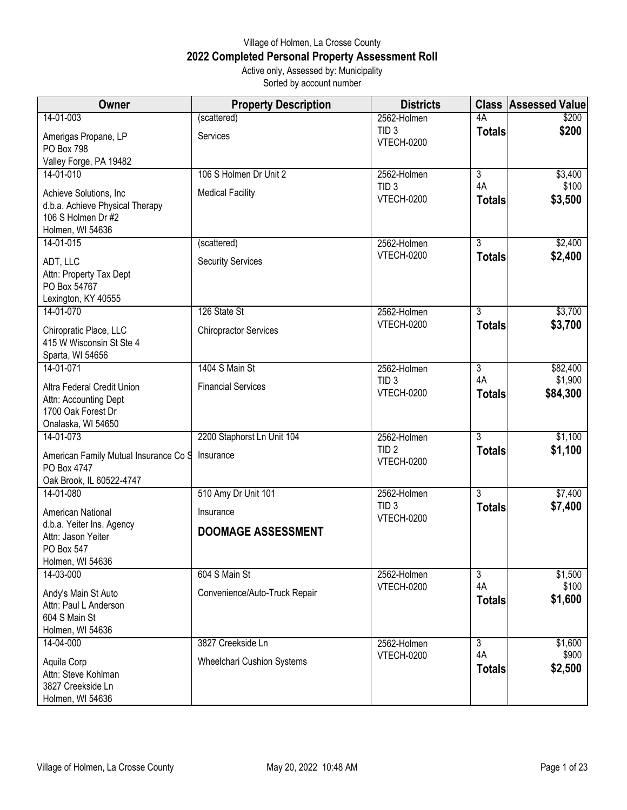## Village of Holmen, La Crosse County **2022 Completed Personal Property Assessment Roll** Active only, Assessed by: Municipality

Sorted by account number

| Owner                                                | <b>Property Description</b>       | <b>Districts</b>               |                     | <b>Class Assessed Value</b> |
|------------------------------------------------------|-----------------------------------|--------------------------------|---------------------|-----------------------------|
| 14-01-003                                            | (scattered)                       | 2562-Holmen                    | 4A                  | \$200                       |
| Amerigas Propane, LP                                 | Services                          | TID <sub>3</sub><br>VTECH-0200 | <b>Totals</b>       | \$200                       |
| <b>PO Box 798</b>                                    |                                   |                                |                     |                             |
| Valley Forge, PA 19482                               |                                   |                                |                     |                             |
| 14-01-010                                            | 106 S Holmen Dr Unit 2            | 2562-Holmen                    | $\overline{3}$      | \$3,400                     |
| Achieve Solutions, Inc                               | <b>Medical Facility</b>           | TID <sub>3</sub><br>VTECH-0200 | 4A<br><b>Totals</b> | \$100<br>\$3,500            |
| d.b.a. Achieve Physical Therapy                      |                                   |                                |                     |                             |
| 106 S Holmen Dr #2<br>Holmen, WI 54636               |                                   |                                |                     |                             |
| 14-01-015                                            | (scattered)                       | 2562-Holmen                    | $\overline{3}$      | \$2,400                     |
|                                                      |                                   | VTECH-0200                     | <b>Totals</b>       | \$2,400                     |
| ADT, LLC<br>Attn: Property Tax Dept                  | <b>Security Services</b>          |                                |                     |                             |
| PO Box 54767                                         |                                   |                                |                     |                             |
| Lexington, KY 40555                                  |                                   |                                |                     |                             |
| 14-01-070                                            | 126 State St                      | 2562-Holmen                    | $\overline{3}$      | \$3,700                     |
| Chiropratic Place, LLC                               | <b>Chiropractor Services</b>      | <b>VTECH-0200</b>              | <b>Totals</b>       | \$3,700                     |
| 415 W Wisconsin St Ste 4                             |                                   |                                |                     |                             |
| Sparta, WI 54656                                     |                                   |                                |                     |                             |
| 14-01-071                                            | 1404 S Main St                    | 2562-Holmen                    | $\overline{3}$      | \$82,400                    |
| Altra Federal Credit Union                           | <b>Financial Services</b>         | TID <sub>3</sub><br>VTECH-0200 | 4A                  | \$1,900                     |
| Attn: Accounting Dept                                |                                   |                                | <b>Totals</b>       | \$84,300                    |
| 1700 Oak Forest Dr                                   |                                   |                                |                     |                             |
| Onalaska, WI 54650<br>14-01-073                      | 2200 Staphorst Ln Unit 104        | 2562-Holmen                    | 3                   | \$1,100                     |
|                                                      |                                   | TID <sub>2</sub>               | <b>Totals</b>       | \$1,100                     |
| American Family Mutual Insurance Co S<br>PO Box 4747 | Insurance                         | <b>VTECH-0200</b>              |                     |                             |
| Oak Brook, IL 60522-4747                             |                                   |                                |                     |                             |
| 14-01-080                                            | 510 Amy Dr Unit 101               | 2562-Holmen                    | $\overline{3}$      | \$7,400                     |
| American National                                    | Insurance                         | TID <sub>3</sub>               | <b>Totals</b>       | \$7,400                     |
| d.b.a. Yeiter Ins. Agency                            |                                   | VTECH-0200                     |                     |                             |
| Attn: Jason Yeiter                                   | <b>DOOMAGE ASSESSMENT</b>         |                                |                     |                             |
| PO Box 547                                           |                                   |                                |                     |                             |
| Holmen, WI 54636<br>14-03-000                        | 604 S Main St                     | 2562-Holmen                    | $\overline{3}$      | \$1,500                     |
|                                                      |                                   | <b>VTECH-0200</b>              | 4A                  | \$100                       |
| Andy's Main St Auto<br>Attn: Paul L Anderson         | Convenience/Auto-Truck Repair     |                                | <b>Totals</b>       | \$1,600                     |
| 604 S Main St                                        |                                   |                                |                     |                             |
| Holmen, WI 54636                                     |                                   |                                |                     |                             |
| 14-04-000                                            | 3827 Creekside Ln                 | 2562-Holmen                    | $\overline{3}$      | \$1,600                     |
| Aquila Corp                                          | <b>Wheelchari Cushion Systems</b> | <b>VTECH-0200</b>              | 4A                  | \$900                       |
| Attn: Steve Kohlman                                  |                                   |                                | <b>Totals</b>       | \$2,500                     |
| 3827 Creekside Ln                                    |                                   |                                |                     |                             |
| Holmen, WI 54636                                     |                                   |                                |                     |                             |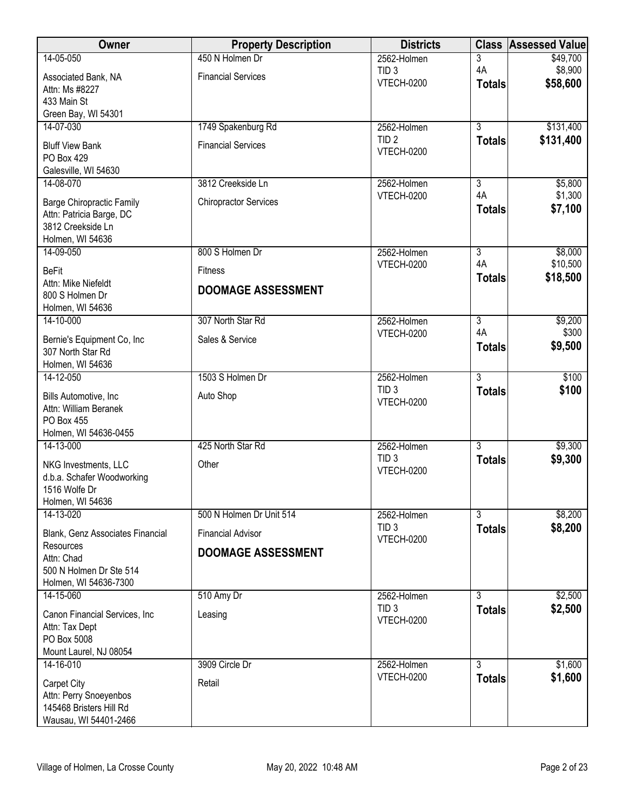| Owner                                            | <b>Property Description</b>  | <b>Districts</b>                      | <b>Class</b>         | <b>Assessed Value</b> |
|--------------------------------------------------|------------------------------|---------------------------------------|----------------------|-----------------------|
| 14-05-050                                        | 450 N Holmen Dr              | 2562-Holmen                           | 3                    | \$49,700              |
| Associated Bank, NA                              | <b>Financial Services</b>    | TID <sub>3</sub><br>VTECH-0200        | 4A<br><b>Totals</b>  | \$8,900<br>\$58,600   |
| Attn: Ms #8227<br>433 Main St                    |                              |                                       |                      |                       |
| Green Bay, WI 54301                              |                              |                                       |                      |                       |
| 14-07-030                                        | 1749 Spakenburg Rd           | 2562-Holmen                           | $\overline{3}$       | \$131,400             |
| <b>Bluff View Bank</b>                           | <b>Financial Services</b>    | TID <sub>2</sub>                      | <b>Totals</b>        | \$131,400             |
| PO Box 429                                       |                              | VTECH-0200                            |                      |                       |
| Galesville, WI 54630                             |                              |                                       |                      |                       |
| 14-08-070                                        | 3812 Creekside Ln            | 2562-Holmen<br><b>VTECH-0200</b>      | $\overline{3}$<br>4A | \$5,800<br>\$1,300    |
| <b>Barge Chiropractic Family</b>                 | <b>Chiropractor Services</b> |                                       | <b>Totals</b>        | \$7,100               |
| Attn: Patricia Barge, DC<br>3812 Creekside Ln    |                              |                                       |                      |                       |
| Holmen, WI 54636                                 |                              |                                       |                      |                       |
| 14-09-050                                        | 800 S Holmen Dr              | 2562-Holmen                           | $\overline{3}$       | \$8,000               |
| <b>BeFit</b>                                     | <b>Fitness</b>               | <b>VTECH-0200</b>                     | 4A                   | \$10,500              |
| Attn: Mike Niefeldt                              | <b>DOOMAGE ASSESSMENT</b>    |                                       | <b>Totals</b>        | \$18,500              |
| 800 S Holmen Dr                                  |                              |                                       |                      |                       |
| Holmen, WI 54636<br>14-10-000                    | 307 North Star Rd            | 2562-Holmen                           | $\overline{3}$       | \$9,200               |
| Bernie's Equipment Co, Inc                       | Sales & Service              | <b>VTECH-0200</b>                     | 4A                   | \$300                 |
| 307 North Star Rd                                |                              |                                       | <b>Totals</b>        | \$9,500               |
| Holmen, WI 54636                                 |                              |                                       |                      |                       |
| 14-12-050                                        | 1503 S Holmen Dr             | 2562-Holmen                           | $\overline{3}$       | \$100                 |
| Bills Automotive, Inc                            | Auto Shop                    | TID <sub>3</sub><br><b>VTECH-0200</b> | <b>Totals</b>        | \$100                 |
| Attn: William Beranek                            |                              |                                       |                      |                       |
| PO Box 455<br>Holmen, WI 54636-0455              |                              |                                       |                      |                       |
| 14-13-000                                        | 425 North Star Rd            | 2562-Holmen                           | $\overline{3}$       | \$9,300               |
| NKG Investments, LLC                             | Other                        | TID <sub>3</sub>                      | <b>Totals</b>        | \$9,300               |
| d.b.a. Schafer Woodworking                       |                              | VTECH-0200                            |                      |                       |
| 1516 Wolfe Dr                                    |                              |                                       |                      |                       |
| Holmen, WI 54636<br>14-13-020                    | 500 N Holmen Dr Unit 514     | 2562-Holmen                           | $\overline{3}$       | \$8,200               |
|                                                  |                              | TID <sub>3</sub>                      | <b>Totals</b>        | \$8,200               |
| Blank, Genz Associates Financial<br>Resources    | <b>Financial Advisor</b>     | VTECH-0200                            |                      |                       |
| Attn: Chad                                       | <b>DOOMAGE ASSESSMENT</b>    |                                       |                      |                       |
| 500 N Holmen Dr Ste 514                          |                              |                                       |                      |                       |
| Holmen, WI 54636-7300                            |                              |                                       | $\overline{3}$       |                       |
| 14-15-060                                        | 510 Amy Dr                   | 2562-Holmen<br>TID <sub>3</sub>       | <b>Totals</b>        | \$2,500<br>\$2,500    |
| Canon Financial Services, Inc.                   | Leasing                      | <b>VTECH-0200</b>                     |                      |                       |
| Attn: Tax Dept<br>PO Box 5008                    |                              |                                       |                      |                       |
| Mount Laurel, NJ 08054                           |                              |                                       |                      |                       |
| 14-16-010                                        | 3909 Circle Dr               | 2562-Holmen                           | $\overline{3}$       | \$1,600               |
| Carpet City                                      | Retail                       | <b>VTECH-0200</b>                     | <b>Totals</b>        | \$1,600               |
| Attn: Perry Snoeyenbos                           |                              |                                       |                      |                       |
|                                                  |                              |                                       |                      |                       |
| 145468 Bristers Hill Rd<br>Wausau, WI 54401-2466 |                              |                                       |                      |                       |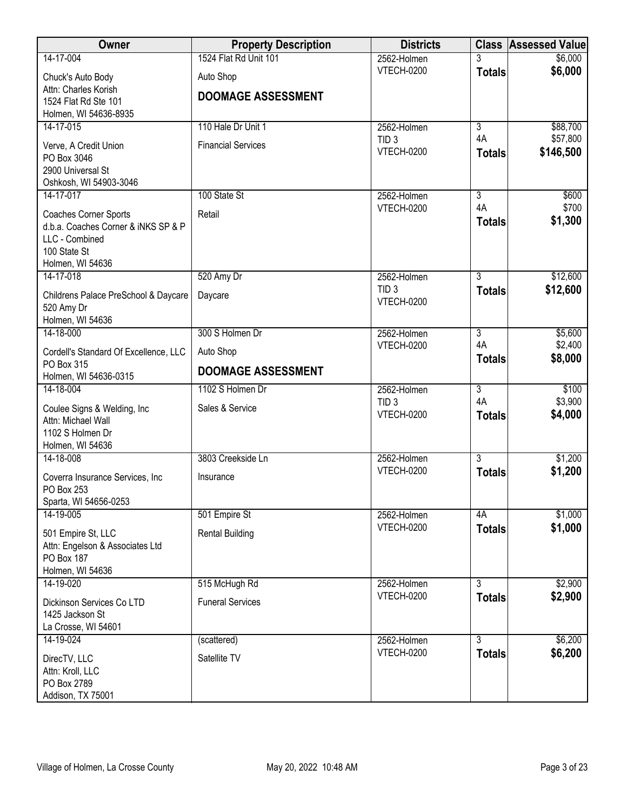| Owner                                         | <b>Property Description</b> | <b>Districts</b>                 |                                 | <b>Class Assessed Value</b> |
|-----------------------------------------------|-----------------------------|----------------------------------|---------------------------------|-----------------------------|
| 14-17-004                                     | 1524 Flat Rd Unit 101       | 2562-Holmen                      |                                 | \$6,000                     |
| Chuck's Auto Body                             | Auto Shop                   | <b>VTECH-0200</b>                | <b>Totals</b>                   | \$6,000                     |
| Attn: Charles Korish                          | <b>DOOMAGE ASSESSMENT</b>   |                                  |                                 |                             |
| 1524 Flat Rd Ste 101<br>Holmen, WI 54636-8935 |                             |                                  |                                 |                             |
| 14-17-015                                     | 110 Hale Dr Unit 1          | 2562-Holmen                      | $\overline{3}$                  | \$88,700                    |
| Verve, A Credit Union                         | <b>Financial Services</b>   | TID <sub>3</sub>                 | 4A                              | \$57,800                    |
| PO Box 3046                                   |                             | <b>VTECH-0200</b>                | <b>Totals</b>                   | \$146,500                   |
| 2900 Universal St                             |                             |                                  |                                 |                             |
| Oshkosh, WI 54903-3046                        |                             |                                  |                                 |                             |
| 14-17-017                                     | 100 State St                | 2562-Holmen                      | $\overline{3}$<br>4A            | \$600<br>\$700              |
| Coaches Corner Sports                         | Retail                      | <b>VTECH-0200</b>                | <b>Totals</b>                   | \$1,300                     |
| d.b.a. Coaches Corner & iNKS SP & P           |                             |                                  |                                 |                             |
| LLC - Combined<br>100 State St                |                             |                                  |                                 |                             |
| Holmen, WI 54636                              |                             |                                  |                                 |                             |
| 14-17-018                                     | 520 Amy Dr                  | 2562-Holmen                      | 3                               | \$12,600                    |
| Childrens Palace PreSchool & Daycare          | Daycare                     | TID <sub>3</sub>                 | <b>Totals</b>                   | \$12,600                    |
| 520 Amy Dr                                    |                             | <b>VTECH-0200</b>                |                                 |                             |
| Holmen, WI 54636                              |                             |                                  |                                 |                             |
| 14-18-000                                     | 300 S Holmen Dr             | 2562-Holmen<br><b>VTECH-0200</b> | $\overline{3}$<br>4A            | \$5,600<br>\$2,400          |
| Cordell's Standard Of Excellence, LLC         | Auto Shop                   |                                  | <b>Totals</b>                   | \$8,000                     |
| PO Box 315<br>Holmen, WI 54636-0315           | <b>DOOMAGE ASSESSMENT</b>   |                                  |                                 |                             |
| 14-18-004                                     | 1102 S Holmen Dr            | 2562-Holmen                      | $\overline{3}$                  | \$100                       |
| Coulee Signs & Welding, Inc.                  | Sales & Service             | TID <sub>3</sub>                 | 4A                              | \$3,900                     |
| Attn: Michael Wall                            |                             | <b>VTECH-0200</b>                | <b>Totals</b>                   | \$4,000                     |
| 1102 S Holmen Dr                              |                             |                                  |                                 |                             |
| Holmen, WI 54636                              |                             |                                  |                                 |                             |
| 14-18-008                                     | 3803 Creekside Ln           | 2562-Holmen<br><b>VTECH-0200</b> | $\overline{3}$<br><b>Totals</b> | \$1,200<br>\$1,200          |
| Coverra Insurance Services, Inc               | Insurance                   |                                  |                                 |                             |
| PO Box 253<br>Sparta, WI 54656-0253           |                             |                                  |                                 |                             |
| 14-19-005                                     | 501 Empire St               | 2562-Holmen                      | 4A                              | \$1,000                     |
| 501 Empire St, LLC                            | <b>Rental Building</b>      | <b>VTECH-0200</b>                | <b>Totals</b>                   | \$1,000                     |
| Attn: Engelson & Associates Ltd               |                             |                                  |                                 |                             |
| PO Box 187                                    |                             |                                  |                                 |                             |
| Holmen, WI 54636                              |                             |                                  |                                 |                             |
| 14-19-020                                     | 515 McHugh Rd               | 2562-Holmen<br><b>VTECH-0200</b> | 3                               | \$2,900                     |
| Dickinson Services Co LTD                     | <b>Funeral Services</b>     |                                  | <b>Totals</b>                   | \$2,900                     |
| 1425 Jackson St<br>La Crosse, WI 54601        |                             |                                  |                                 |                             |
| 14-19-024                                     | (scattered)                 | 2562-Holmen                      | $\overline{3}$                  | \$6,200                     |
|                                               | Satellite TV                | <b>VTECH-0200</b>                | <b>Totals</b>                   | \$6,200                     |
| DirecTV, LLC<br>Attn: Kroll, LLC              |                             |                                  |                                 |                             |
| PO Box 2789                                   |                             |                                  |                                 |                             |
| Addison, TX 75001                             |                             |                                  |                                 |                             |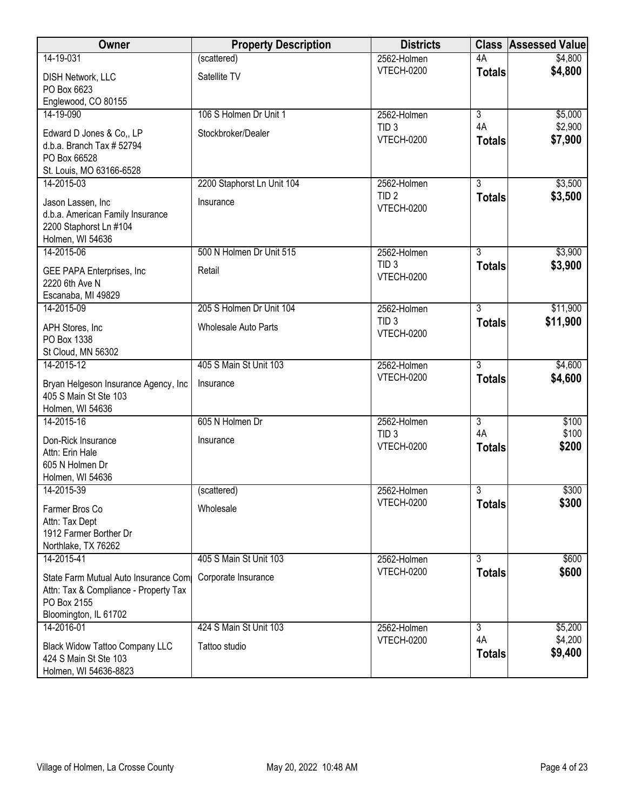| Owner                                                 | <b>Property Description</b> | <b>Districts</b>                 |                | <b>Class Assessed Value</b> |
|-------------------------------------------------------|-----------------------------|----------------------------------|----------------|-----------------------------|
| 14-19-031                                             | (scattered)                 | 2562-Holmen                      | 4A             | \$4,800                     |
| <b>DISH Network, LLC</b><br>PO Box 6623               | Satellite TV                | <b>VTECH-0200</b>                | <b>Totals</b>  | \$4,800                     |
| Englewood, CO 80155                                   |                             |                                  |                |                             |
| 14-19-090                                             | 106 S Holmen Dr Unit 1      | 2562-Holmen                      | $\overline{3}$ | \$5,000                     |
|                                                       |                             | TID <sub>3</sub>                 | 4A             | \$2,900                     |
| Edward D Jones & Co., LP<br>d.b.a. Branch Tax # 52794 | Stockbroker/Dealer          | <b>VTECH-0200</b>                | <b>Totals</b>  | \$7,900                     |
| PO Box 66528                                          |                             |                                  |                |                             |
| St. Louis, MO 63166-6528                              |                             |                                  |                |                             |
| 14-2015-03                                            | 2200 Staphorst Ln Unit 104  | 2562-Holmen                      | $\overline{3}$ | \$3,500                     |
| Jason Lassen, Inc                                     | Insurance                   | TID <sub>2</sub>                 | <b>Totals</b>  | \$3,500                     |
| d.b.a. American Family Insurance                      |                             | <b>VTECH-0200</b>                |                |                             |
| 2200 Staphorst Ln #104                                |                             |                                  |                |                             |
| Holmen, WI 54636                                      |                             |                                  |                |                             |
| 14-2015-06                                            | 500 N Holmen Dr Unit 515    | 2562-Holmen                      | 3              | \$3,900                     |
| GEE PAPA Enterprises, Inc                             | Retail                      | TID <sub>3</sub>                 | <b>Totals</b>  | \$3,900                     |
| 2220 6th Ave N                                        |                             | <b>VTECH-0200</b>                |                |                             |
| Escanaba, MI 49829                                    |                             |                                  |                |                             |
| 14-2015-09                                            | 205 S Holmen Dr Unit 104    | 2562-Holmen                      | $\overline{3}$ | \$11,900                    |
| APH Stores, Inc.                                      | <b>Wholesale Auto Parts</b> | TID <sub>3</sub>                 | <b>Totals</b>  | \$11,900                    |
| PO Box 1338                                           |                             | <b>VTECH-0200</b>                |                |                             |
| St Cloud, MN 56302                                    |                             |                                  |                |                             |
| 14-2015-12                                            | 405 S Main St Unit 103      | 2562-Holmen                      | $\overline{3}$ | \$4,600                     |
| Bryan Helgeson Insurance Agency, Inc                  | Insurance                   | <b>VTECH-0200</b>                | <b>Totals</b>  | \$4,600                     |
| 405 S Main St Ste 103                                 |                             |                                  |                |                             |
| Holmen, WI 54636                                      |                             |                                  |                |                             |
| 14-2015-16                                            | 605 N Holmen Dr             | 2562-Holmen                      | $\overline{3}$ | \$100                       |
| Don-Rick Insurance                                    | Insurance                   | TID <sub>3</sub>                 | 4A             | \$100                       |
| Attn: Erin Hale                                       |                             | <b>VTECH-0200</b>                | <b>Totals</b>  | \$200                       |
| 605 N Holmen Dr                                       |                             |                                  |                |                             |
| Holmen, WI 54636                                      |                             |                                  |                |                             |
| 14-2015-39                                            | (scattered)                 | 2562-Holmen                      | $\overline{3}$ | \$300                       |
| Farmer Bros Co                                        | Wholesale                   | VTECH-0200                       | <b>Totals</b>  | \$300                       |
| Attn: Tax Dept                                        |                             |                                  |                |                             |
| 1912 Farmer Borther Dr                                |                             |                                  |                |                             |
| Northlake, TX 76262                                   |                             |                                  |                |                             |
| 14-2015-41                                            | 405 S Main St Unit 103      | 2562-Holmen<br><b>VTECH-0200</b> | $\overline{3}$ | \$600                       |
| State Farm Mutual Auto Insurance Com                  | Corporate Insurance         |                                  | <b>Totals</b>  | \$600                       |
| Attn: Tax & Compliance - Property Tax                 |                             |                                  |                |                             |
| PO Box 2155                                           |                             |                                  |                |                             |
| Bloomington, IL 61702<br>14-2016-01                   | 424 S Main St Unit 103      | 2562-Holmen                      | 3              | \$5,200                     |
|                                                       |                             | <b>VTECH-0200</b>                | 4A             | \$4,200                     |
| <b>Black Widow Tattoo Company LLC</b>                 | Tattoo studio               |                                  | <b>Totals</b>  | \$9,400                     |
| 424 S Main St Ste 103<br>Holmen, WI 54636-8823        |                             |                                  |                |                             |
|                                                       |                             |                                  |                |                             |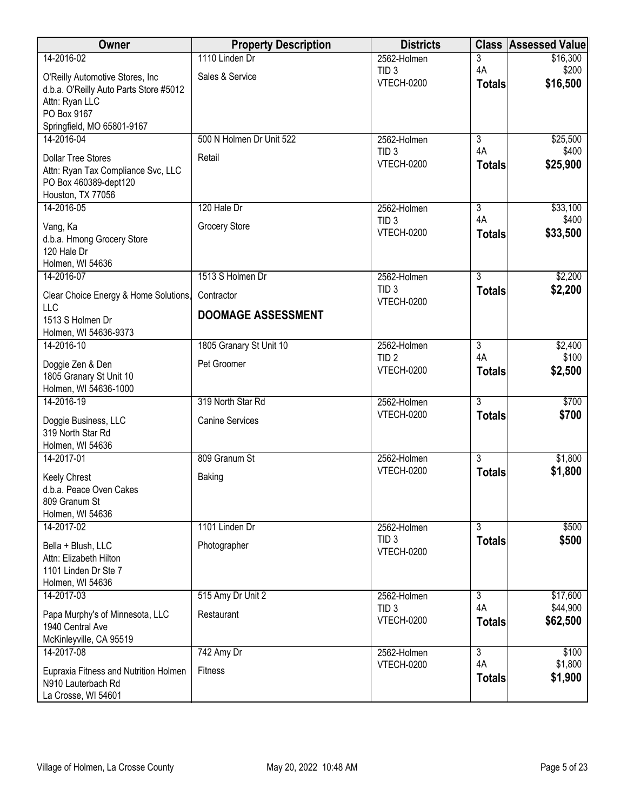| Owner                                                                                                         | <b>Property Description</b> | <b>Districts</b>                      |                      | <b>Class Assessed Value</b> |
|---------------------------------------------------------------------------------------------------------------|-----------------------------|---------------------------------------|----------------------|-----------------------------|
| 14-2016-02                                                                                                    | 1110 Linden Dr              | 2562-Holmen                           | 3                    | \$16,300                    |
| O'Reilly Automotive Stores, Inc.<br>d.b.a. O'Reilly Auto Parts Store #5012<br>Attn: Ryan LLC<br>PO Box 9167   | Sales & Service             | TID <sub>3</sub><br><b>VTECH-0200</b> | 4A<br><b>Totals</b>  | \$200<br>\$16,500           |
| Springfield, MO 65801-9167                                                                                    |                             |                                       |                      |                             |
| 14-2016-04                                                                                                    | 500 N Holmen Dr Unit 522    | 2562-Holmen                           | $\overline{3}$       | \$25,500                    |
| <b>Dollar Tree Stores</b><br>Attn: Ryan Tax Compliance Svc, LLC<br>PO Box 460389-dept120<br>Houston, TX 77056 | Retail                      | TID <sub>3</sub><br><b>VTECH-0200</b> | 4A<br><b>Totals</b>  | \$400<br>\$25,900           |
| 14-2016-05                                                                                                    | 120 Hale Dr                 | 2562-Holmen                           | $\overline{3}$<br>4A | \$33,100                    |
| Vang, Ka<br>d.b.a. Hmong Grocery Store<br>120 Hale Dr<br>Holmen, WI 54636                                     | <b>Grocery Store</b>        | TID <sub>3</sub><br><b>VTECH-0200</b> | <b>Totals</b>        | \$400<br>\$33,500           |
| 14-2016-07                                                                                                    | 1513 S Holmen Dr            | 2562-Holmen                           | $\overline{3}$       | \$2,200                     |
| Clear Choice Energy & Home Solutions,<br><b>LLC</b>                                                           | Contractor                  | TID <sub>3</sub><br><b>VTECH-0200</b> | <b>Totals</b>        | \$2,200                     |
| 1513 S Holmen Dr<br>Holmen, WI 54636-9373                                                                     | <b>DOOMAGE ASSESSMENT</b>   |                                       |                      |                             |
| 14-2016-10                                                                                                    | 1805 Granary St Unit 10     | 2562-Holmen                           | $\overline{3}$       | \$2,400                     |
| Doggie Zen & Den<br>1805 Granary St Unit 10<br>Holmen, WI 54636-1000                                          | Pet Groomer                 | TID <sub>2</sub><br><b>VTECH-0200</b> | 4A<br><b>Totals</b>  | \$100<br>\$2,500            |
| 14-2016-19                                                                                                    | 319 North Star Rd           | 2562-Holmen                           | $\overline{3}$       | \$700                       |
| Doggie Business, LLC<br>319 North Star Rd<br>Holmen, WI 54636                                                 | <b>Canine Services</b>      | <b>VTECH-0200</b>                     | <b>Totals</b>        | \$700                       |
| 14-2017-01                                                                                                    | 809 Granum St               | 2562-Holmen                           | $\overline{3}$       | \$1,800                     |
| Keely Chrest<br>d.b.a. Peace Oven Cakes<br>809 Granum St<br>Holmen, WI 54636                                  | Baking                      | <b>VTECH-0200</b>                     | <b>Totals</b>        | \$1,800                     |
| 14-2017-02                                                                                                    | 1101 Linden Dr              | 2562-Holmen                           | $\overline{3}$       | \$500                       |
| Bella + Blush, LLC<br>Attn: Elizabeth Hilton<br>1101 Linden Dr Ste 7<br>Holmen, WI 54636                      | Photographer                | TID <sub>3</sub><br><b>VTECH-0200</b> | <b>Totals</b>        | \$500                       |
| 14-2017-03                                                                                                    | 515 Amy Dr Unit 2           | 2562-Holmen                           | $\overline{3}$       | \$17,600                    |
| Papa Murphy's of Minnesota, LLC<br>1940 Central Ave<br>McKinleyville, CA 95519                                | Restaurant                  | TID <sub>3</sub><br><b>VTECH-0200</b> | 4A<br><b>Totals</b>  | \$44,900<br>\$62,500        |
| 14-2017-08                                                                                                    | 742 Amy Dr                  | 2562-Holmen                           | $\overline{3}$       | \$100                       |
| Eupraxia Fitness and Nutrition Holmen<br>N910 Lauterbach Rd<br>La Crosse, WI 54601                            | Fitness                     | <b>VTECH-0200</b>                     | 4A<br><b>Totals</b>  | \$1,800<br>\$1,900          |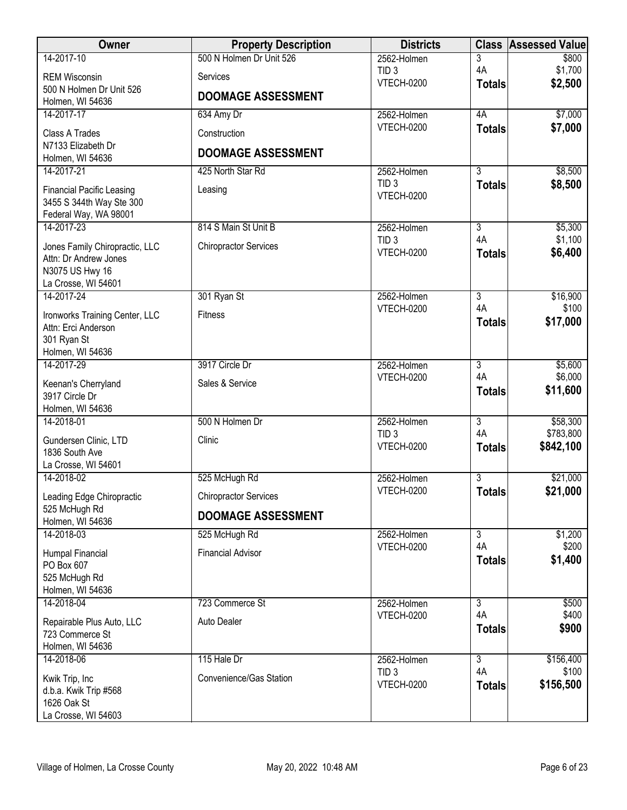| Owner                                        | <b>Property Description</b>  | <b>Districts</b>                      | <b>Class</b>              | <b>Assessed Value</b> |
|----------------------------------------------|------------------------------|---------------------------------------|---------------------------|-----------------------|
| 14-2017-10                                   | 500 N Holmen Dr Unit 526     | 2562-Holmen                           | 3                         | \$800                 |
| <b>REM Wisconsin</b>                         | Services                     | TID <sub>3</sub><br><b>VTECH-0200</b> | 4A                        | \$1,700<br>\$2,500    |
| 500 N Holmen Dr Unit 526<br>Holmen, WI 54636 | <b>DOOMAGE ASSESSMENT</b>    |                                       | <b>Totals</b>             |                       |
| 14-2017-17                                   | 634 Amy Dr                   | 2562-Holmen                           | 4A                        | \$7,000               |
| Class A Trades                               | Construction                 | <b>VTECH-0200</b>                     | <b>Totals</b>             | \$7,000               |
| N7133 Elizabeth Dr                           |                              |                                       |                           |                       |
| Holmen, WI 54636                             | <b>DOOMAGE ASSESSMENT</b>    |                                       |                           |                       |
| 14-2017-21                                   | 425 North Star Rd            | 2562-Holmen                           | $\overline{3}$            | \$8,500               |
| <b>Financial Pacific Leasing</b>             | Leasing                      | TID <sub>3</sub>                      | <b>Totals</b>             | \$8,500               |
| 3455 S 344th Way Ste 300                     |                              | <b>VTECH-0200</b>                     |                           |                       |
| Federal Way, WA 98001                        |                              |                                       |                           |                       |
| 14-2017-23                                   | 814 S Main St Unit B         | 2562-Holmen<br>TID <sub>3</sub>       | $\overline{3}$<br>4A      | \$5,300<br>\$1,100    |
| Jones Family Chiropractic, LLC               | <b>Chiropractor Services</b> | <b>VTECH-0200</b>                     | <b>Totals</b>             | \$6,400               |
| Attn: Dr Andrew Jones<br>N3075 US Hwy 16     |                              |                                       |                           |                       |
| La Crosse, WI 54601                          |                              |                                       |                           |                       |
| 14-2017-24                                   | 301 Ryan St                  | 2562-Holmen                           | $\overline{3}$            | \$16,900              |
| Ironworks Training Center, LLC               | <b>Fitness</b>               | <b>VTECH-0200</b>                     | 4A                        | \$100                 |
| Attn: Erci Anderson                          |                              |                                       | <b>Totals</b>             | \$17,000              |
| 301 Ryan St                                  |                              |                                       |                           |                       |
| Holmen, WI 54636<br>14-2017-29               | 3917 Circle Dr               | 2562-Holmen                           | $\overline{3}$            | \$5,600               |
|                                              |                              | VTECH-0200                            | 4A                        | \$6,000               |
| Keenan's Cherryland<br>3917 Circle Dr        | Sales & Service              |                                       | <b>Totals</b>             | \$11,600              |
| Holmen, WI 54636                             |                              |                                       |                           |                       |
| 14-2018-01                                   | 500 N Holmen Dr              | 2562-Holmen                           | $\overline{\overline{3}}$ | \$58,300              |
| Gundersen Clinic, LTD                        | Clinic                       | TID <sub>3</sub>                      | 4A                        | \$783,800             |
| 1836 South Ave                               |                              | <b>VTECH-0200</b>                     | <b>Totals</b>             | \$842,100             |
| La Crosse, WI 54601                          |                              |                                       |                           |                       |
| 14-2018-02                                   | 525 McHugh Rd                | 2562-Holmen                           | 3                         | \$21,000              |
| Leading Edge Chiropractic                    | <b>Chiropractor Services</b> | <b>VTECH-0200</b>                     | <b>Totals</b>             | \$21,000              |
| 525 McHugh Rd<br>Holmen, WI 54636            | <b>DOOMAGE ASSESSMENT</b>    |                                       |                           |                       |
| 14-2018-03                                   | 525 McHugh Rd                | 2562-Holmen                           | 3                         | \$1,200               |
| Humpal Financial                             | <b>Financial Advisor</b>     | <b>VTECH-0200</b>                     | 4A                        | \$200                 |
| PO Box 607                                   |                              |                                       | <b>Totals</b>             | \$1,400               |
| 525 McHugh Rd                                |                              |                                       |                           |                       |
| Holmen, WI 54636<br>14-2018-04               | 723 Commerce St              | 2562-Holmen                           | $\overline{3}$            | \$500                 |
|                                              |                              | <b>VTECH-0200</b>                     | 4A                        | \$400                 |
| Repairable Plus Auto, LLC<br>723 Commerce St | Auto Dealer                  |                                       | <b>Totals</b>             | \$900                 |
| Holmen, WI 54636                             |                              |                                       |                           |                       |
| 14-2018-06                                   | 115 Hale Dr                  | 2562-Holmen                           | $\overline{3}$            | \$156,400             |
| Kwik Trip, Inc                               | Convenience/Gas Station      | TID <sub>3</sub>                      | 4A                        | \$100                 |
| d.b.a. Kwik Trip #568                        |                              | <b>VTECH-0200</b>                     | <b>Totals</b>             | \$156,500             |
| 1626 Oak St                                  |                              |                                       |                           |                       |
| La Crosse, WI 54603                          |                              |                                       |                           |                       |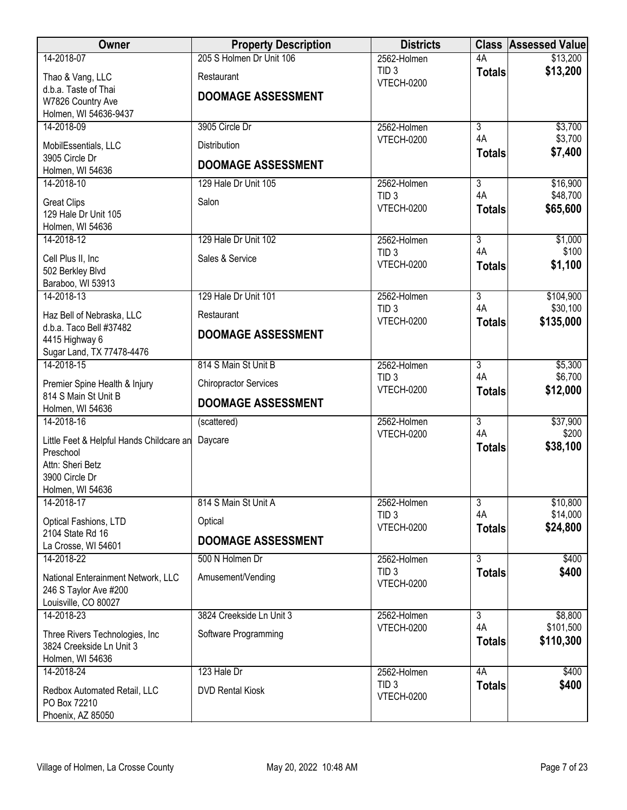| Owner                                                       | <b>Property Description</b>  | <b>Districts</b>                      |                      | <b>Class Assessed Value</b> |
|-------------------------------------------------------------|------------------------------|---------------------------------------|----------------------|-----------------------------|
| 14-2018-07                                                  | 205 S Holmen Dr Unit 106     | 2562-Holmen                           | 4A                   | \$13,200                    |
| Thao & Vang, LLC                                            | Restaurant                   | TID <sub>3</sub><br><b>VTECH-0200</b> | <b>Totals</b>        | \$13,200                    |
| d.b.a. Taste of Thai                                        | <b>DOOMAGE ASSESSMENT</b>    |                                       |                      |                             |
| W7826 Country Ave<br>Holmen, WI 54636-9437                  |                              |                                       |                      |                             |
| 14-2018-09                                                  | 3905 Circle Dr               | 2562-Holmen                           | $\overline{3}$       | \$3,700                     |
| MobilEssentials, LLC                                        | Distribution                 | <b>VTECH-0200</b>                     | 4A                   | \$3,700                     |
| 3905 Circle Dr                                              |                              |                                       | <b>Totals</b>        | \$7,400                     |
| Holmen, WI 54636                                            | <b>DOOMAGE ASSESSMENT</b>    |                                       |                      |                             |
| 14-2018-10                                                  | 129 Hale Dr Unit 105         | 2562-Holmen                           | $\overline{3}$<br>4A | \$16,900                    |
| <b>Great Clips</b>                                          | Salon                        | TID <sub>3</sub><br><b>VTECH-0200</b> | <b>Totals</b>        | \$48,700<br>\$65,600        |
| 129 Hale Dr Unit 105                                        |                              |                                       |                      |                             |
| Holmen, WI 54636<br>14-2018-12                              | 129 Hale Dr Unit 102         | 2562-Holmen                           | $\overline{3}$       | \$1,000                     |
|                                                             | Sales & Service              | TID <sub>3</sub>                      | 4A                   | \$100                       |
| Cell Plus II, Inc<br>502 Berkley Blvd                       |                              | <b>VTECH-0200</b>                     | <b>Totals</b>        | \$1,100                     |
| Baraboo, WI 53913                                           |                              |                                       |                      |                             |
| 14-2018-13                                                  | 129 Hale Dr Unit 101         | 2562-Holmen                           | $\overline{3}$       | \$104,900                   |
| Haz Bell of Nebraska, LLC                                   | Restaurant                   | TID <sub>3</sub><br><b>VTECH-0200</b> | 4A                   | \$30,100                    |
| d.b.a. Taco Bell #37482                                     | <b>DOOMAGE ASSESSMENT</b>    |                                       | <b>Totals</b>        | \$135,000                   |
| 4415 Highway 6<br>Sugar Land, TX 77478-4476                 |                              |                                       |                      |                             |
| 14-2018-15                                                  | 814 S Main St Unit B         | 2562-Holmen                           | $\overline{3}$       | \$5,300                     |
| Premier Spine Health & Injury                               | <b>Chiropractor Services</b> | TID <sub>3</sub>                      | 4A                   | \$6,700                     |
| 814 S Main St Unit B                                        |                              | <b>VTECH-0200</b>                     | <b>Totals</b>        | \$12,000                    |
| Holmen, WI 54636                                            | <b>DOOMAGE ASSESSMENT</b>    |                                       |                      |                             |
| 14-2018-16                                                  | (scattered)                  | 2562-Holmen                           | $\overline{3}$<br>4A | \$37,900                    |
| Little Feet & Helpful Hands Childcare an                    | Daycare                      | <b>VTECH-0200</b>                     | <b>Totals</b>        | \$200<br>\$38,100           |
| Preschool<br>Attn: Sheri Betz                               |                              |                                       |                      |                             |
| 3900 Circle Dr                                              |                              |                                       |                      |                             |
| Holmen, WI 54636                                            |                              |                                       |                      |                             |
| 14-2018-17                                                  | 814 S Main St Unit A         | 2562-Holmen                           | $\overline{3}$       | \$10,800                    |
| Optical Fashions, LTD                                       | Optical                      | TID <sub>3</sub><br>VTECH-0200        | 4A                   | \$14,000<br>\$24,800        |
| 2104 State Rd 16                                            | <b>DOOMAGE ASSESSMENT</b>    |                                       | <b>Totals</b>        |                             |
| La Crosse, WI 54601<br>14-2018-22                           | 500 N Holmen Dr              | 2562-Holmen                           | $\overline{3}$       | \$400                       |
|                                                             |                              | TID <sub>3</sub>                      | <b>Totals</b>        | \$400                       |
| National Enterainment Network, LLC<br>246 S Taylor Ave #200 | Amusement/Vending            | <b>VTECH-0200</b>                     |                      |                             |
| Louisville, CO 80027                                        |                              |                                       |                      |                             |
| 14-2018-23                                                  | 3824 Creekside Ln Unit 3     | 2562-Holmen                           | $\overline{3}$       | \$8,800                     |
| Three Rivers Technologies, Inc.                             | Software Programming         | <b>VTECH-0200</b>                     | 4A                   | \$101,500                   |
| 3824 Creekside Ln Unit 3                                    |                              |                                       | <b>Totals</b>        | \$110,300                   |
| Holmen, WI 54636<br>14-2018-24                              | 123 Hale Dr                  |                                       | 4A                   |                             |
|                                                             |                              | 2562-Holmen<br>TID <sub>3</sub>       | <b>Totals</b>        | \$400<br>\$400              |
| Redbox Automated Retail, LLC<br>PO Box 72210                | <b>DVD Rental Kiosk</b>      | <b>VTECH-0200</b>                     |                      |                             |
| Phoenix, AZ 85050                                           |                              |                                       |                      |                             |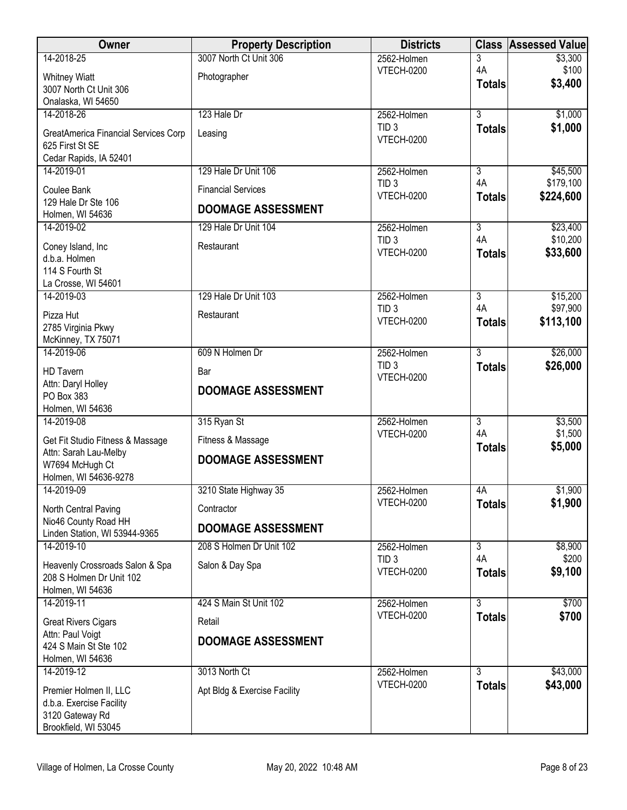| <b>Owner</b>                                | <b>Property Description</b>  | <b>Districts</b>                      |                      | <b>Class Assessed Value</b> |
|---------------------------------------------|------------------------------|---------------------------------------|----------------------|-----------------------------|
| 14-2018-25                                  | 3007 North Ct Unit 306       | 2562-Holmen                           | 3                    | \$3,300                     |
| <b>Whitney Wiatt</b>                        | Photographer                 | <b>VTECH-0200</b>                     | 4A                   | \$100                       |
| 3007 North Ct Unit 306                      |                              |                                       | <b>Totals</b>        | \$3,400                     |
| Onalaska, WI 54650                          |                              |                                       |                      |                             |
| 14-2018-26                                  | 123 Hale Dr                  | 2562-Holmen                           | $\overline{3}$       | \$1,000                     |
| GreatAmerica Financial Services Corp        | Leasing                      | TID <sub>3</sub>                      | <b>Totals</b>        | \$1,000                     |
| 625 First St SE                             |                              | VTECH-0200                            |                      |                             |
| Cedar Rapids, IA 52401                      |                              |                                       |                      |                             |
| 14-2019-01                                  | 129 Hale Dr Unit 106         | 2562-Holmen                           | $\overline{3}$       | \$45,500                    |
| Coulee Bank                                 | <b>Financial Services</b>    | TID <sub>3</sub>                      | 4A                   | \$179,100                   |
| 129 Hale Dr Ste 106                         |                              | <b>VTECH-0200</b>                     | <b>Totals</b>        | \$224,600                   |
| Holmen, WI 54636                            | <b>DOOMAGE ASSESSMENT</b>    |                                       |                      |                             |
| 14-2019-02                                  | 129 Hale Dr Unit 104         | 2562-Holmen                           | $\overline{3}$       | \$23,400                    |
| Coney Island, Inc                           | Restaurant                   | TID <sub>3</sub>                      | 4A                   | \$10,200                    |
| d.b.a. Holmen                               |                              | VTECH-0200                            | <b>Totals</b>        | \$33,600                    |
| 114 S Fourth St                             |                              |                                       |                      |                             |
| La Crosse, WI 54601                         |                              |                                       |                      |                             |
| 14-2019-03                                  | 129 Hale Dr Unit 103         | 2562-Holmen                           | $\overline{3}$       | \$15,200                    |
| Pizza Hut                                   | Restaurant                   | TID <sub>3</sub><br><b>VTECH-0200</b> | 4A                   | \$97,900                    |
| 2785 Virginia Pkwy                          |                              |                                       | <b>Totals</b>        | \$113,100                   |
| McKinney, TX 75071                          |                              |                                       |                      |                             |
| 14-2019-06                                  | 609 N Holmen Dr              | 2562-Holmen                           | $\overline{3}$       | \$26,000                    |
| <b>HD Tavern</b>                            | Bar                          | TID <sub>3</sub>                      | <b>Totals</b>        | \$26,000                    |
| Attn: Daryl Holley                          | <b>DOOMAGE ASSESSMENT</b>    | <b>VTECH-0200</b>                     |                      |                             |
| PO Box 383                                  |                              |                                       |                      |                             |
| Holmen, WI 54636                            |                              |                                       |                      |                             |
| 14-2019-08                                  | 315 Ryan St                  | 2562-Holmen                           | $\overline{3}$<br>4A | \$3,500                     |
| Get Fit Studio Fitness & Massage            | Fitness & Massage            | <b>VTECH-0200</b>                     | <b>Totals</b>        | \$1,500<br>\$5,000          |
| Attn: Sarah Lau-Melby                       | <b>DOOMAGE ASSESSMENT</b>    |                                       |                      |                             |
| W7694 McHugh Ct                             |                              |                                       |                      |                             |
| Holmen, WI 54636-9278<br>14-2019-09         |                              | 2562-Holmen                           | 4A                   | \$1,900                     |
|                                             | 3210 State Highway 35        | <b>VTECH-0200</b>                     | <b>Totals</b>        | \$1,900                     |
| North Central Paving                        | Contractor                   |                                       |                      |                             |
| Nio46 County Road HH                        | <b>DOOMAGE ASSESSMENT</b>    |                                       |                      |                             |
| Linden Station, WI 53944-9365<br>14-2019-10 | 208 S Holmen Dr Unit 102     |                                       | $\overline{3}$       | \$8,900                     |
|                                             |                              | 2562-Holmen<br>TID <sub>3</sub>       | 4A                   | \$200                       |
| Heavenly Crossroads Salon & Spa             | Salon & Day Spa              | <b>VTECH-0200</b>                     | <b>Totals</b>        | \$9,100                     |
| 208 S Holmen Dr Unit 102                    |                              |                                       |                      |                             |
| Holmen, WI 54636<br>14-2019-11              | 424 S Main St Unit 102       | 2562-Holmen                           | 3                    | \$700                       |
|                                             |                              | <b>VTECH-0200</b>                     | <b>Totals</b>        | \$700                       |
| <b>Great Rivers Cigars</b>                  | Retail                       |                                       |                      |                             |
| Attn: Paul Voigt                            | <b>DOOMAGE ASSESSMENT</b>    |                                       |                      |                             |
| 424 S Main St Ste 102<br>Holmen, WI 54636   |                              |                                       |                      |                             |
| 14-2019-12                                  | 3013 North Ct                | 2562-Holmen                           | $\overline{3}$       | \$43,000                    |
|                                             |                              | <b>VTECH-0200</b>                     | <b>Totals</b>        | \$43,000                    |
| Premier Holmen II, LLC                      | Apt Bldg & Exercise Facility |                                       |                      |                             |
| d.b.a. Exercise Facility<br>3120 Gateway Rd |                              |                                       |                      |                             |
| Brookfield, WI 53045                        |                              |                                       |                      |                             |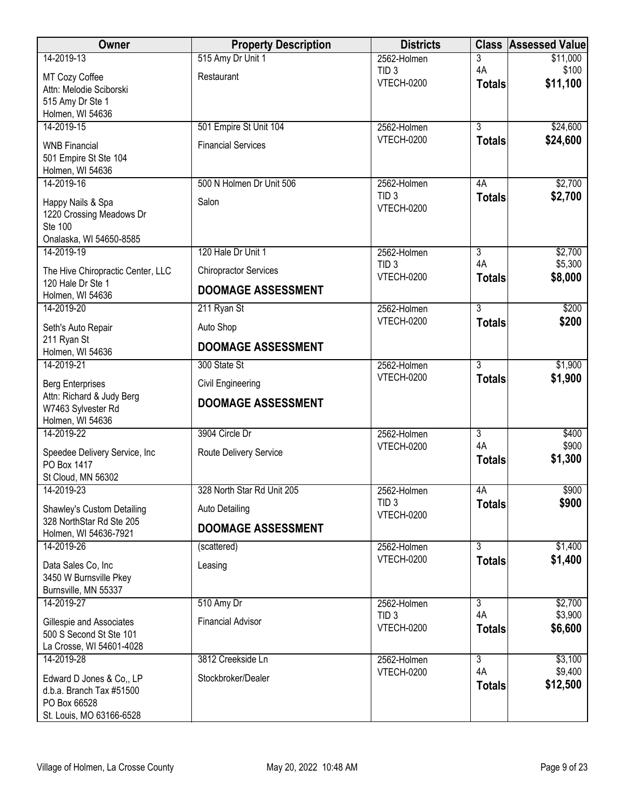| Owner                                                                                            | <b>Property Description</b>  | <b>Districts</b>                      |                     | <b>Class Assessed Value</b> |
|--------------------------------------------------------------------------------------------------|------------------------------|---------------------------------------|---------------------|-----------------------------|
| 14-2019-13                                                                                       | 515 Amy Dr Unit 1            | 2562-Holmen                           | 3                   | \$11,000                    |
| MT Cozy Coffee<br>Attn: Melodie Sciborski<br>515 Amy Dr Ste 1<br>Holmen, WI 54636                | Restaurant                   | TID <sub>3</sub><br><b>VTECH-0200</b> | 4A<br><b>Totals</b> | \$100<br>\$11,100           |
| 14-2019-15                                                                                       | 501 Empire St Unit 104       | 2562-Holmen                           | $\overline{3}$      | \$24,600                    |
| <b>WNB Financial</b><br>501 Empire St Ste 104<br>Holmen, WI 54636                                | <b>Financial Services</b>    | <b>VTECH-0200</b>                     | <b>Totals</b>       | \$24,600                    |
| 14-2019-16                                                                                       | 500 N Holmen Dr Unit 506     | 2562-Holmen                           | 4A                  | \$2,700                     |
| Happy Nails & Spa<br>1220 Crossing Meadows Dr<br>Ste 100<br>Onalaska, WI 54650-8585              | Salon                        | TID <sub>3</sub><br><b>VTECH-0200</b> | <b>Totals</b>       | \$2,700                     |
| 14-2019-19                                                                                       | 120 Hale Dr Unit 1           | 2562-Holmen                           | $\overline{3}$      | \$2,700                     |
| The Hive Chiropractic Center, LLC                                                                | <b>Chiropractor Services</b> | TID <sub>3</sub><br><b>VTECH-0200</b> | 4A<br><b>Totals</b> | \$5,300<br>\$8,000          |
| 120 Hale Dr Ste 1<br>Holmen, WI 54636                                                            | <b>DOOMAGE ASSESSMENT</b>    |                                       |                     |                             |
| 14-2019-20                                                                                       | 211 Ryan St                  | 2562-Holmen                           | $\overline{3}$      | \$200                       |
| Seth's Auto Repair                                                                               | Auto Shop                    | <b>VTECH-0200</b>                     | <b>Totals</b>       | \$200                       |
| 211 Ryan St<br>Holmen, WI 54636                                                                  | <b>DOOMAGE ASSESSMENT</b>    |                                       |                     |                             |
| 14-2019-21                                                                                       | 300 State St                 | 2562-Holmen                           | $\overline{3}$      | \$1,900                     |
| <b>Berg Enterprises</b>                                                                          | Civil Engineering            | <b>VTECH-0200</b>                     | <b>Totals</b>       | \$1,900                     |
| Attn: Richard & Judy Berg<br>W7463 Sylvester Rd<br>Holmen, WI 54636                              | <b>DOOMAGE ASSESSMENT</b>    |                                       |                     |                             |
| 14-2019-22                                                                                       | 3904 Circle Dr               | 2562-Holmen                           | $\overline{3}$      | \$400                       |
| Speedee Delivery Service, Inc<br>PO Box 1417                                                     | Route Delivery Service       | <b>VTECH-0200</b>                     | 4A<br><b>Totals</b> | \$900<br>\$1,300            |
| St Cloud, MN 56302<br>14-2019-23                                                                 | 328 North Star Rd Unit 205   | 2562-Holmen                           | 4A                  | \$900                       |
| Shawley's Custom Detailing                                                                       | <b>Auto Detailing</b>        | TID <sub>3</sub>                      | <b>Totals</b>       | \$900                       |
| 328 NorthStar Rd Ste 205                                                                         | <b>DOOMAGE ASSESSMENT</b>    | <b>VTECH-0200</b>                     |                     |                             |
| Holmen, WI 54636-7921<br>14-2019-26                                                              |                              |                                       | $\overline{3}$      |                             |
|                                                                                                  | (scattered)                  | 2562-Holmen<br><b>VTECH-0200</b>      | <b>Totals</b>       | \$1,400<br>\$1,400          |
| Data Sales Co, Inc<br>3450 W Burnsville Pkey                                                     | Leasing                      |                                       |                     |                             |
| Burnsville, MN 55337                                                                             |                              |                                       |                     |                             |
| 14-2019-27                                                                                       | 510 Amy Dr                   | 2562-Holmen                           | $\overline{3}$      | \$2,700                     |
| Gillespie and Associates<br>500 S Second St Ste 101                                              | <b>Financial Advisor</b>     | TID <sub>3</sub><br><b>VTECH-0200</b> | 4A<br><b>Totals</b> | \$3,900<br>\$6,600          |
| La Crosse, WI 54601-4028<br>14-2019-28                                                           | 3812 Creekside Ln            | 2562-Holmen                           | $\overline{3}$      | \$3,100                     |
| Edward D Jones & Co., LP<br>d.b.a. Branch Tax #51500<br>PO Box 66528<br>St. Louis, MO 63166-6528 | Stockbroker/Dealer           | <b>VTECH-0200</b>                     | 4A<br><b>Totals</b> | \$9,400<br>\$12,500         |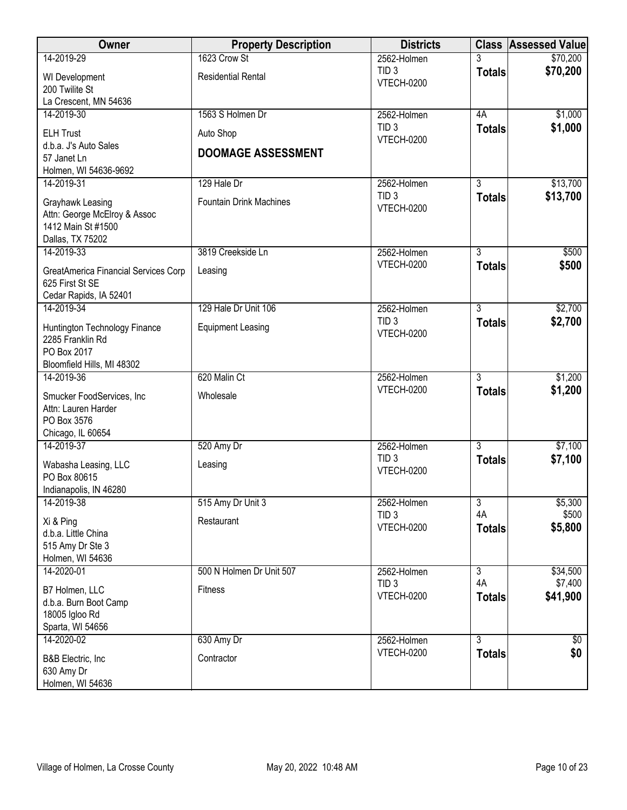| Owner                                            | <b>Property Description</b>    | <b>Districts</b>                      |                | <b>Class Assessed Value</b> |
|--------------------------------------------------|--------------------------------|---------------------------------------|----------------|-----------------------------|
| 14-2019-29                                       | 1623 Crow St                   | 2562-Holmen                           | 3              | \$70,200                    |
| WI Development                                   | <b>Residential Rental</b>      | TID <sub>3</sub><br><b>VTECH-0200</b> | <b>Totals</b>  | \$70,200                    |
| 200 Twilite St                                   |                                |                                       |                |                             |
| La Crescent, MN 54636<br>14-2019-30              | 1563 S Holmen Dr               | 2562-Holmen                           | 4A             | \$1,000                     |
|                                                  |                                | TID <sub>3</sub>                      | <b>Totals</b>  | \$1,000                     |
| <b>ELH Trust</b><br>d.b.a. J's Auto Sales        | Auto Shop                      | <b>VTECH-0200</b>                     |                |                             |
| 57 Janet Ln                                      | <b>DOOMAGE ASSESSMENT</b>      |                                       |                |                             |
| Holmen, WI 54636-9692                            |                                |                                       |                |                             |
| 14-2019-31                                       | 129 Hale Dr                    | 2562-Holmen                           | $\overline{3}$ | \$13,700                    |
| Grayhawk Leasing                                 | <b>Fountain Drink Machines</b> | TID <sub>3</sub><br><b>VTECH-0200</b> | <b>Totals</b>  | \$13,700                    |
| Attn: George McElroy & Assoc                     |                                |                                       |                |                             |
| 1412 Main St #1500<br>Dallas, TX 75202           |                                |                                       |                |                             |
| 14-2019-33                                       | 3819 Creekside Ln              | 2562-Holmen                           | 3              | \$500                       |
| <b>GreatAmerica Financial Services Corp</b>      | Leasing                        | <b>VTECH-0200</b>                     | <b>Totals</b>  | \$500                       |
| 625 First St SE                                  |                                |                                       |                |                             |
| Cedar Rapids, IA 52401                           |                                |                                       |                |                             |
| 14-2019-34                                       | 129 Hale Dr Unit 106           | 2562-Holmen                           | $\overline{3}$ | \$2,700                     |
| Huntington Technology Finance                    | <b>Equipment Leasing</b>       | TID <sub>3</sub>                      | <b>Totals</b>  | \$2,700                     |
| 2285 Franklin Rd                                 |                                | <b>VTECH-0200</b>                     |                |                             |
| PO Box 2017                                      |                                |                                       |                |                             |
| Bloomfield Hills, MI 48302<br>14-2019-36         | 620 Malin Ct                   | 2562-Holmen                           | $\overline{3}$ | \$1,200                     |
|                                                  |                                | <b>VTECH-0200</b>                     | <b>Totals</b>  | \$1,200                     |
| Smucker FoodServices, Inc<br>Attn: Lauren Harder | Wholesale                      |                                       |                |                             |
| PO Box 3576                                      |                                |                                       |                |                             |
| Chicago, IL 60654                                |                                |                                       |                |                             |
| 14-2019-37                                       | 520 Amy Dr                     | 2562-Holmen                           | $\overline{3}$ | \$7,100                     |
| Wabasha Leasing, LLC                             | Leasing                        | TID <sub>3</sub><br><b>VTECH-0200</b> | <b>Totals</b>  | \$7,100                     |
| PO Box 80615                                     |                                |                                       |                |                             |
| Indianapolis, IN 46280<br>14-2019-38             | 515 Amy Dr Unit 3              | 2562-Holmen                           | $\overline{3}$ | \$5,300                     |
|                                                  |                                | TID <sub>3</sub>                      | 4A             | \$500                       |
| Xi & Ping<br>d.b.a. Little China                 | Restaurant                     | <b>VTECH-0200</b>                     | <b>Totals</b>  | \$5,800                     |
| 515 Amy Dr Ste 3                                 |                                |                                       |                |                             |
| Holmen, WI 54636                                 |                                |                                       |                |                             |
| 14-2020-01                                       | 500 N Holmen Dr Unit 507       | 2562-Holmen                           | $\overline{3}$ | \$34,500                    |
| B7 Holmen, LLC                                   | Fitness                        | TID <sub>3</sub>                      | 4A             | \$7,400                     |
| d.b.a. Burn Boot Camp                            |                                | <b>VTECH-0200</b>                     | <b>Totals</b>  | \$41,900                    |
| 18005 Igloo Rd                                   |                                |                                       |                |                             |
| Sparta, WI 54656<br>14-2020-02                   | 630 Amy Dr                     | 2562-Holmen                           | $\overline{3}$ | $\sqrt[6]{30}$              |
|                                                  |                                | <b>VTECH-0200</b>                     | <b>Totals</b>  | \$0                         |
| B&B Electric, Inc.<br>630 Amy Dr                 | Contractor                     |                                       |                |                             |
| Holmen, WI 54636                                 |                                |                                       |                |                             |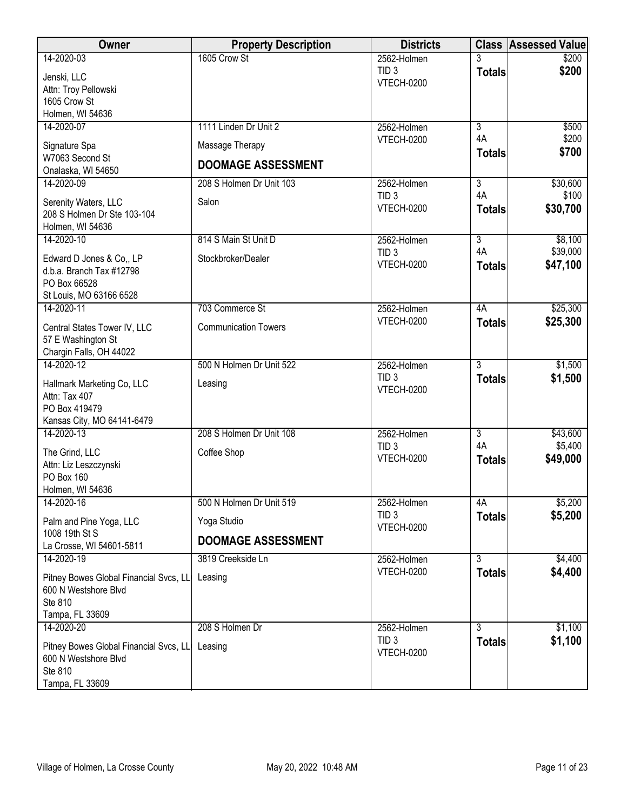| Owner                                                                                        | <b>Property Description</b> | <b>Districts</b>                      |                           | <b>Class Assessed Value</b> |
|----------------------------------------------------------------------------------------------|-----------------------------|---------------------------------------|---------------------------|-----------------------------|
| 14-2020-03                                                                                   | 1605 Crow St                | 2562-Holmen<br>TID <sub>3</sub>       |                           | \$200                       |
| Jenski, LLC                                                                                  |                             | <b>VTECH-0200</b>                     | <b>Totals</b>             | \$200                       |
| Attn: Troy Pellowski<br>1605 Crow St                                                         |                             |                                       |                           |                             |
| Holmen, WI 54636                                                                             |                             |                                       |                           |                             |
| 14-2020-07                                                                                   | 1111 Linden Dr Unit 2       | 2562-Holmen                           | $\overline{3}$            | \$500                       |
| Signature Spa                                                                                | Massage Therapy             | <b>VTECH-0200</b>                     | 4A<br><b>Totals</b>       | \$200<br>\$700              |
| W7063 Second St<br>Onalaska, WI 54650                                                        | <b>DOOMAGE ASSESSMENT</b>   |                                       |                           |                             |
| 14-2020-09                                                                                   | 208 S Holmen Dr Unit 103    | 2562-Holmen                           | $\overline{3}$            | \$30,600                    |
| Serenity Waters, LLC<br>208 S Holmen Dr Ste 103-104<br>Holmen, WI 54636                      | Salon                       | TID <sub>3</sub><br><b>VTECH-0200</b> | 4A<br><b>Totals</b>       | \$100<br>\$30,700           |
| 14-2020-10                                                                                   | 814 S Main St Unit D        | 2562-Holmen                           | $\overline{3}$            | \$8,100                     |
| Edward D Jones & Co., LP<br>d.b.a. Branch Tax #12798<br>PO Box 66528                         | Stockbroker/Dealer          | TID <sub>3</sub><br><b>VTECH-0200</b> | 4A<br><b>Totals</b>       | \$39,000<br>\$47,100        |
| St Louis, MO 63166 6528<br>14-2020-11                                                        | 703 Commerce St             | 2562-Holmen                           | 4A                        | \$25,300                    |
|                                                                                              | <b>Communication Towers</b> | <b>VTECH-0200</b>                     | <b>Totals</b>             | \$25,300                    |
| Central States Tower IV, LLC<br>57 E Washington St<br>Chargin Falls, OH 44022                |                             |                                       |                           |                             |
| 14-2020-12                                                                                   | 500 N Holmen Dr Unit 522    | 2562-Holmen                           | $\overline{3}$            | \$1,500                     |
| Hallmark Marketing Co, LLC<br>Attn: Tax 407<br>PO Box 419479<br>Kansas City, MO 64141-6479   | Leasing                     | TID <sub>3</sub><br><b>VTECH-0200</b> | <b>Totals</b>             | \$1,500                     |
| 14-2020-13                                                                                   | 208 S Holmen Dr Unit 108    | 2562-Holmen                           | $\overline{\overline{3}}$ | \$43,600                    |
| The Grind, LLC<br>Attn: Liz Leszczynski<br>PO Box 160<br>Holmen, WI 54636                    | Coffee Shop                 | TID <sub>3</sub><br><b>VTECH-0200</b> | 4A<br><b>Totals</b>       | \$5,400<br>\$49,000         |
| 14-2020-16                                                                                   | 500 N Holmen Dr Unit 519    | 2562-Holmen                           | 4A                        | \$5,200                     |
| Palm and Pine Yoga, LLC                                                                      | Yoga Studio                 | TID <sub>3</sub><br><b>VTECH-0200</b> | <b>Totals</b>             | \$5,200                     |
| 1008 19th St S<br>La Crosse, WI 54601-5811                                                   | <b>DOOMAGE ASSESSMENT</b>   |                                       |                           |                             |
| 14-2020-19                                                                                   | 3819 Creekside Ln           | 2562-Holmen                           | $\overline{3}$            | \$4,400                     |
| Pitney Bowes Global Financial Svcs, LL<br>600 N Westshore Blvd<br>Ste 810<br>Tampa, FL 33609 | Leasing                     | <b>VTECH-0200</b>                     | <b>Totals</b>             | \$4,400                     |
| 14-2020-20                                                                                   | 208 S Holmen Dr             | 2562-Holmen                           | $\overline{3}$            | \$1,100                     |
| Pitney Bowes Global Financial Svcs, LL<br>600 N Westshore Blvd<br>Ste 810<br>Tampa, FL 33609 | Leasing                     | TID <sub>3</sub><br><b>VTECH-0200</b> | <b>Totals</b>             | \$1,100                     |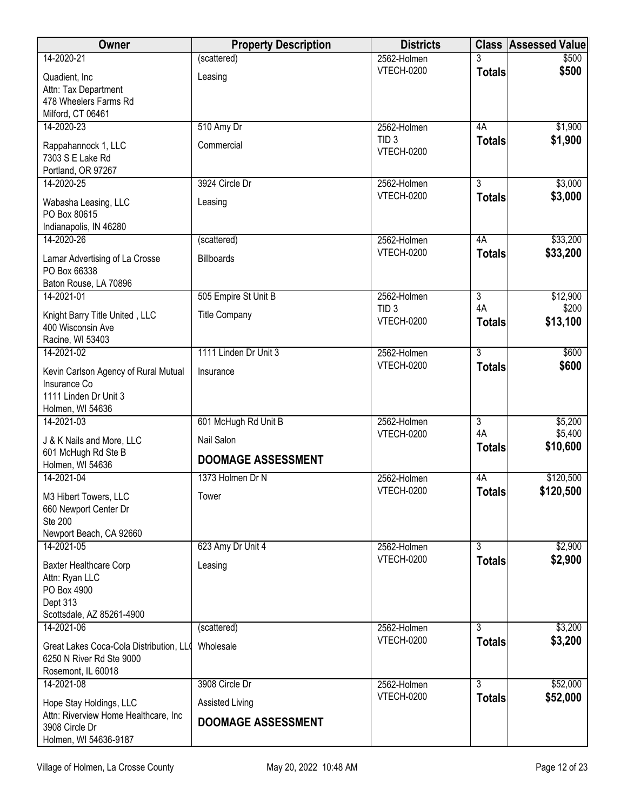| Owner                                           | <b>Property Description</b> | <b>Districts</b>                 | <b>Class</b>   | <b>Assessed Value</b> |
|-------------------------------------------------|-----------------------------|----------------------------------|----------------|-----------------------|
| 14-2020-21                                      | (scattered)                 | 2562-Holmen                      |                | \$500                 |
| Quadient, Inc                                   | Leasing                     | <b>VTECH-0200</b>                | <b>Totals</b>  | \$500                 |
| Attn: Tax Department                            |                             |                                  |                |                       |
| 478 Wheelers Farms Rd                           |                             |                                  |                |                       |
| Milford, CT 06461<br>14-2020-23                 |                             |                                  | 4A             |                       |
|                                                 | 510 Amy Dr                  | 2562-Holmen<br>TID <sub>3</sub>  | <b>Totals</b>  | \$1,900<br>\$1,900    |
| Rappahannock 1, LLC                             | Commercial                  | <b>VTECH-0200</b>                |                |                       |
| 7303 S E Lake Rd                                |                             |                                  |                |                       |
| Portland, OR 97267<br>14-2020-25                | 3924 Circle Dr              | 2562-Holmen                      | $\overline{3}$ | \$3,000               |
|                                                 |                             | <b>VTECH-0200</b>                | <b>Totals</b>  | \$3,000               |
| Wabasha Leasing, LLC                            | Leasing                     |                                  |                |                       |
| PO Box 80615<br>Indianapolis, IN 46280          |                             |                                  |                |                       |
| 14-2020-26                                      | (scattered)                 | 2562-Holmen                      | 4A             | \$33,200              |
|                                                 |                             | VTECH-0200                       | <b>Totals</b>  | \$33,200              |
| Lamar Advertising of La Crosse<br>PO Box 66338  | <b>Billboards</b>           |                                  |                |                       |
| Baton Rouse, LA 70896                           |                             |                                  |                |                       |
| 14-2021-01                                      | 505 Empire St Unit B        | 2562-Holmen                      | $\overline{3}$ | \$12,900              |
| Knight Barry Title United, LLC                  | <b>Title Company</b>        | TID <sub>3</sub>                 | 4A             | \$200                 |
| 400 Wisconsin Ave                               |                             | <b>VTECH-0200</b>                | <b>Totals</b>  | \$13,100              |
| Racine, WI 53403                                |                             |                                  |                |                       |
| 14-2021-02                                      | 1111 Linden Dr Unit 3       | 2562-Holmen                      | $\overline{3}$ | \$600                 |
| Kevin Carlson Agency of Rural Mutual            | Insurance                   | <b>VTECH-0200</b>                | <b>Totals</b>  | \$600                 |
| Insurance Co                                    |                             |                                  |                |                       |
| 1111 Linden Dr Unit 3                           |                             |                                  |                |                       |
| Holmen, WI 54636                                |                             |                                  |                |                       |
| 14-2021-03                                      | 601 McHugh Rd Unit B        | 2562-Holmen                      | $\overline{3}$ | \$5,200               |
| J & K Nails and More, LLC                       | Nail Salon                  | <b>VTECH-0200</b>                | 4A             | \$5,400               |
| 601 McHugh Rd Ste B                             | <b>DOOMAGE ASSESSMENT</b>   |                                  | <b>Totals</b>  | \$10,600              |
| Holmen, WI 54636                                |                             |                                  |                |                       |
| 14-2021-04                                      | 1373 Holmen Dr N            | 2562-Holmen<br><b>VTECH-0200</b> | 4A             | \$120,500             |
| M3 Hibert Towers, LLC                           | Tower                       |                                  | <b>Totals</b>  | \$120,500             |
| 660 Newport Center Dr                           |                             |                                  |                |                       |
| Ste 200<br>Newport Beach, CA 92660              |                             |                                  |                |                       |
| 14-2021-05                                      | 623 Amy Dr Unit 4           | 2562-Holmen                      | 3              | \$2,900               |
|                                                 |                             | <b>VTECH-0200</b>                | <b>Totals</b>  | \$2,900               |
| <b>Baxter Healthcare Corp</b><br>Attn: Ryan LLC | Leasing                     |                                  |                |                       |
| PO Box 4900                                     |                             |                                  |                |                       |
| Dept 313                                        |                             |                                  |                |                       |
| Scottsdale, AZ 85261-4900                       |                             |                                  |                |                       |
| 14-2021-06                                      | (scattered)                 | 2562-Holmen                      | 3              | \$3,200               |
| Great Lakes Coca-Cola Distribution, LLO         | Wholesale                   | <b>VTECH-0200</b>                | <b>Totals</b>  | \$3,200               |
| 6250 N River Rd Ste 9000                        |                             |                                  |                |                       |
| Rosemont, IL 60018                              |                             |                                  |                |                       |
| 14-2021-08                                      | 3908 Circle Dr              | 2562-Holmen                      | $\overline{3}$ | \$52,000              |
| Hope Stay Holdings, LLC                         | Assisted Living             | <b>VTECH-0200</b>                | <b>Totals</b>  | \$52,000              |
| Attn: Riverview Home Healthcare, Inc            | <b>DOOMAGE ASSESSMENT</b>   |                                  |                |                       |
| 3908 Circle Dr                                  |                             |                                  |                |                       |
| Holmen, WI 54636-9187                           |                             |                                  |                |                       |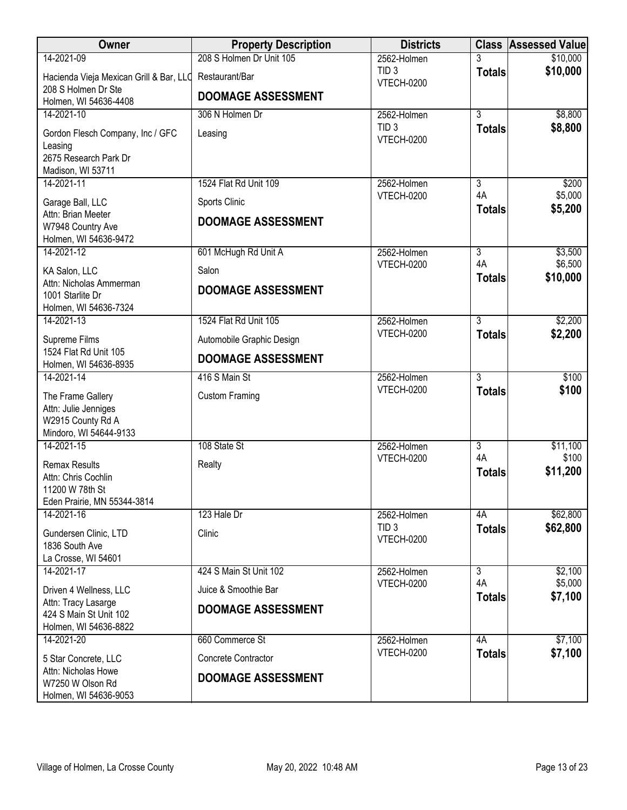| Owner                                                            | <b>Property Description</b> | <b>Districts</b>                      |                      | <b>Class Assessed Value</b> |
|------------------------------------------------------------------|-----------------------------|---------------------------------------|----------------------|-----------------------------|
| 14-2021-09                                                       | 208 S Holmen Dr Unit 105    | 2562-Holmen                           | 3                    | \$10,000                    |
| Hacienda Vieja Mexican Grill & Bar, LLC                          | Restaurant/Bar              | TID <sub>3</sub><br><b>VTECH-0200</b> | <b>Totals</b>        | \$10,000                    |
| 208 S Holmen Dr Ste<br>Holmen, WI 54636-4408                     | <b>DOOMAGE ASSESSMENT</b>   |                                       |                      |                             |
| 14-2021-10                                                       | 306 N Holmen Dr             | 2562-Holmen                           | $\overline{3}$       | \$8,800                     |
| Gordon Flesch Company, Inc / GFC<br>Leasing                      | Leasing                     | TID <sub>3</sub><br><b>VTECH-0200</b> | <b>Totals</b>        | \$8,800                     |
| 2675 Research Park Dr                                            |                             |                                       |                      |                             |
| Madison, WI 53711<br>14-2021-11                                  | 1524 Flat Rd Unit 109       | 2562-Holmen                           | 3                    | \$200                       |
| Garage Ball, LLC                                                 | Sports Clinic               | <b>VTECH-0200</b>                     | 4A<br><b>Totals</b>  | \$5,000<br>\$5,200          |
| Attn: Brian Meeter<br>W7948 Country Ave                          | <b>DOOMAGE ASSESSMENT</b>   |                                       |                      |                             |
| Holmen, WI 54636-9472<br>14-2021-12                              | 601 McHugh Rd Unit A        | 2562-Holmen                           | $\overline{3}$       | \$3,500                     |
|                                                                  |                             | <b>VTECH-0200</b>                     | 4A                   | \$6,500                     |
| KA Salon, LLC<br>Attn: Nicholas Ammerman                         | Salon                       |                                       | <b>Totals</b>        | \$10,000                    |
| 1001 Starlite Dr                                                 | <b>DOOMAGE ASSESSMENT</b>   |                                       |                      |                             |
| Holmen, WI 54636-7324                                            |                             |                                       |                      |                             |
| 14-2021-13                                                       | 1524 Flat Rd Unit 105       | 2562-Holmen<br><b>VTECH-0200</b>      | $\overline{3}$       | \$2,200<br>\$2,200          |
| Supreme Films                                                    | Automobile Graphic Design   |                                       | <b>Totals</b>        |                             |
| 1524 Flat Rd Unit 105<br>Holmen, WI 54636-8935                   | <b>DOOMAGE ASSESSMENT</b>   |                                       |                      |                             |
| 14-2021-14                                                       | 416 S Main St               | 2562-Holmen                           | $\overline{3}$       | \$100                       |
| The Frame Gallery                                                | <b>Custom Framing</b>       | <b>VTECH-0200</b>                     | <b>Totals</b>        | \$100                       |
| Attn: Julie Jenniges                                             |                             |                                       |                      |                             |
| W2915 County Rd A<br>Mindoro, WI 54644-9133                      |                             |                                       |                      |                             |
| 14-2021-15                                                       | 108 State St                | 2562-Holmen                           | $\overline{3}$       | \$11,100                    |
| <b>Remax Results</b>                                             | Realty                      | <b>VTECH-0200</b>                     | 4A                   | \$100                       |
| Attn: Chris Cochlin                                              |                             |                                       | <b>Totals</b>        | \$11,200                    |
| 11200 W 78th St                                                  |                             |                                       |                      |                             |
| Eden Prairie, MN 55344-3814<br>14-2021-16                        | 123 Hale Dr                 | 2562-Holmen                           | 4A                   | \$62,800                    |
| Gundersen Clinic, LTD                                            | Clinic                      | TID <sub>3</sub>                      | <b>Totals</b>        | \$62,800                    |
| 1836 South Ave                                                   |                             | <b>VTECH-0200</b>                     |                      |                             |
| La Crosse, WI 54601                                              |                             |                                       |                      |                             |
| 14-2021-17                                                       | 424 S Main St Unit 102      | 2562-Holmen                           | $\overline{3}$<br>4A | \$2,100<br>\$5,000          |
| Driven 4 Wellness, LLC                                           | Juice & Smoothie Bar        | <b>VTECH-0200</b>                     | <b>Totals</b>        | \$7,100                     |
| Attn: Tracy Lasarge<br>424 S Main St Unit 102                    | <b>DOOMAGE ASSESSMENT</b>   |                                       |                      |                             |
| Holmen, WI 54636-8822                                            |                             |                                       |                      |                             |
| 14-2021-20                                                       | 660 Commerce St             | 2562-Holmen                           | 4A                   | \$7,100                     |
| 5 Star Concrete, LLC                                             | Concrete Contractor         | <b>VTECH-0200</b>                     | <b>Totals</b>        | \$7,100                     |
| Attn: Nicholas Howe<br>W7250 W Olson Rd<br>Holmen, WI 54636-9053 | <b>DOOMAGE ASSESSMENT</b>   |                                       |                      |                             |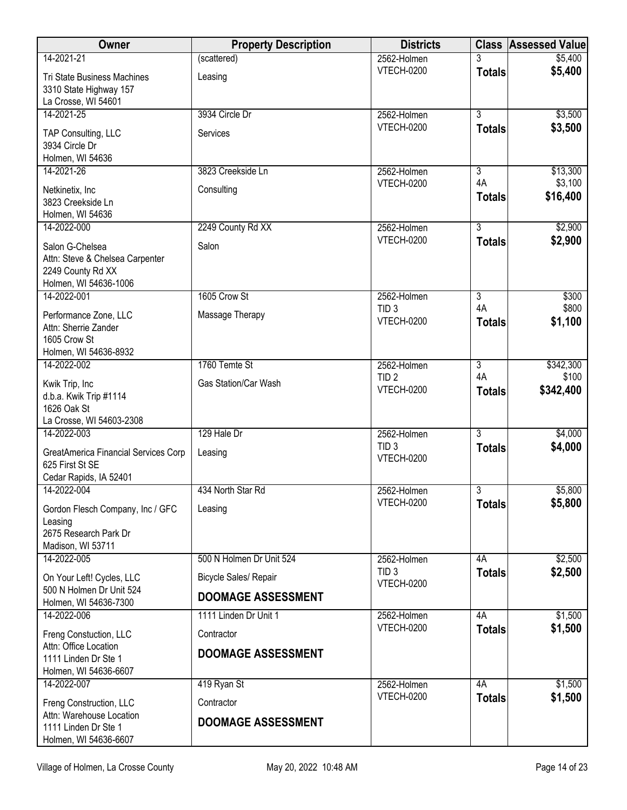| Owner                                                                                            | <b>Property Description</b>                               | <b>Districts</b>                      | <b>Class</b>              | <b>Assessed Value</b> |
|--------------------------------------------------------------------------------------------------|-----------------------------------------------------------|---------------------------------------|---------------------------|-----------------------|
| 14-2021-21                                                                                       | (scattered)                                               | 2562-Holmen                           |                           | \$5,400               |
| <b>Tri State Business Machines</b><br>3310 State Highway 157<br>La Crosse, WI 54601              | Leasing                                                   | <b>VTECH-0200</b>                     | <b>Totals</b>             | \$5,400               |
| 14-2021-25                                                                                       | 3934 Circle Dr                                            | 2562-Holmen                           | $\overline{3}$            | \$3,500               |
| TAP Consulting, LLC<br>3934 Circle Dr<br>Holmen, WI 54636                                        | Services                                                  | <b>VTECH-0200</b>                     | <b>Totals</b>             | \$3,500               |
| 14-2021-26                                                                                       | 3823 Creekside Ln                                         | 2562-Holmen                           | $\overline{\overline{3}}$ | \$13,300              |
| Netkinetix, Inc<br>3823 Creekside Ln<br>Holmen, WI 54636                                         | Consulting                                                | <b>VTECH-0200</b>                     | 4A<br><b>Totals</b>       | \$3,100<br>\$16,400   |
| 14-2022-000                                                                                      | 2249 County Rd XX                                         | 2562-Holmen                           | $\overline{3}$            | \$2,900               |
| Salon G-Chelsea<br>Attn: Steve & Chelsea Carpenter<br>2249 County Rd XX<br>Holmen, WI 54636-1006 | Salon                                                     | <b>VTECH-0200</b>                     | <b>Totals</b>             | \$2,900               |
| 14-2022-001                                                                                      | 1605 Crow St                                              | 2562-Holmen                           | 3                         | \$300                 |
| Performance Zone, LLC<br>Attn: Sherrie Zander<br>1605 Crow St                                    | Massage Therapy                                           | TID <sub>3</sub><br><b>VTECH-0200</b> | 4A<br><b>Totals</b>       | \$800<br>\$1,100      |
| Holmen, WI 54636-8932<br>14-2022-002                                                             | 1760 Temte St                                             | 2562-Holmen                           | $\overline{3}$            | \$342,300             |
| Kwik Trip, Inc<br>d.b.a. Kwik Trip #1114<br>1626 Oak St                                          | Gas Station/Car Wash                                      | TID <sub>2</sub><br><b>VTECH-0200</b> | 4A<br><b>Totals</b>       | \$100<br>\$342,400    |
| La Crosse, WI 54603-2308<br>14-2022-003                                                          | 129 Hale Dr                                               | 2562-Holmen                           | $\overline{3}$            | \$4,000               |
| GreatAmerica Financial Services Corp<br>625 First St SE<br>Cedar Rapids, IA 52401                | Leasing                                                   | TID <sub>3</sub><br><b>VTECH-0200</b> | <b>Totals</b>             | \$4,000               |
| 14-2022-004                                                                                      | 434 North Star Rd                                         | 2562-Holmen                           | $\overline{3}$            | \$5,800               |
| Gordon Flesch Company, Inc / GFC<br>Leasing<br>2675 Research Park Dr<br>Madison, WI 53711        | Leasing                                                   | <b>VTECH-0200</b>                     | <b>Totals</b>             | \$5,800               |
| 14-2022-005                                                                                      | 500 N Holmen Dr Unit 524                                  | 2562-Holmen                           | 4A                        | \$2,500               |
| On Your Left! Cycles, LLC<br>500 N Holmen Dr Unit 524                                            | <b>Bicycle Sales/ Repair</b><br><b>DOOMAGE ASSESSMENT</b> | TID <sub>3</sub><br><b>VTECH-0200</b> | <b>Totals</b>             | \$2,500               |
| Holmen, WI 54636-7300                                                                            |                                                           |                                       |                           |                       |
| 14-2022-006                                                                                      | 1111 Linden Dr Unit 1                                     | 2562-Holmen<br><b>VTECH-0200</b>      | 4A<br><b>Totals</b>       | \$1,500<br>\$1,500    |
| Freng Constuction, LLC<br>Attn: Office Location<br>1111 Linden Dr Ste 1<br>Holmen, WI 54636-6607 | Contractor<br><b>DOOMAGE ASSESSMENT</b>                   |                                       |                           |                       |
| 14-2022-007                                                                                      | 419 Ryan St                                               | 2562-Holmen                           | 4A                        | \$1,500               |
| Freng Construction, LLC<br>Attn: Warehouse Location                                              | Contractor                                                | <b>VTECH-0200</b>                     | <b>Totals</b>             | \$1,500               |
| 1111 Linden Dr Ste 1<br>Holmen, WI 54636-6607                                                    | <b>DOOMAGE ASSESSMENT</b>                                 |                                       |                           |                       |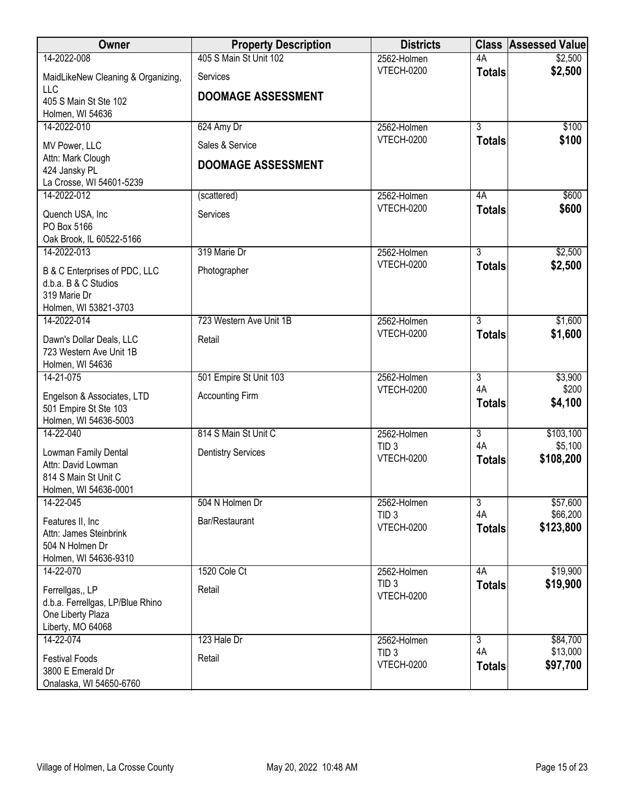| Owner                                            | <b>Property Description</b> | <b>Districts</b>                      |                      | <b>Class Assessed Value</b> |
|--------------------------------------------------|-----------------------------|---------------------------------------|----------------------|-----------------------------|
| 14-2022-008                                      | 405 S Main St Unit 102      | 2562-Holmen                           | 4A                   | \$2,500                     |
| MaidLikeNew Cleaning & Organizing,<br><b>LLC</b> | Services                    | <b>VTECH-0200</b>                     | <b>Totals</b>        | \$2,500                     |
| 405 S Main St Ste 102                            | <b>DOOMAGE ASSESSMENT</b>   |                                       |                      |                             |
| Holmen, WI 54636                                 |                             |                                       |                      |                             |
| 14-2022-010                                      | 624 Amy Dr                  | 2562-Holmen                           | $\overline{3}$       | \$100                       |
| MV Power, LLC                                    | Sales & Service             | VTECH-0200                            | <b>Totals</b>        | \$100                       |
| Attn: Mark Clough                                | <b>DOOMAGE ASSESSMENT</b>   |                                       |                      |                             |
| 424 Jansky PL<br>La Crosse, WI 54601-5239        |                             |                                       |                      |                             |
| 14-2022-012                                      | (scattered)                 | 2562-Holmen                           | 4A                   | \$600                       |
| Quench USA, Inc                                  | Services                    | <b>VTECH-0200</b>                     | <b>Totals</b>        | \$600                       |
| PO Box 5166                                      |                             |                                       |                      |                             |
| Oak Brook, IL 60522-5166                         |                             |                                       |                      |                             |
| 14-2022-013                                      | 319 Marie Dr                | 2562-Holmen                           | $\overline{3}$       | \$2,500                     |
| B & C Enterprises of PDC, LLC                    | Photographer                | <b>VTECH-0200</b>                     | <b>Totals</b>        | \$2,500                     |
| d.b.a. B & C Studios                             |                             |                                       |                      |                             |
| 319 Marie Dr<br>Holmen, WI 53821-3703            |                             |                                       |                      |                             |
| 14-2022-014                                      | 723 Western Ave Unit 1B     | 2562-Holmen                           | $\overline{3}$       | \$1,600                     |
| Dawn's Dollar Deals, LLC                         | Retail                      | <b>VTECH-0200</b>                     | <b>Totals</b>        | \$1,600                     |
| 723 Western Ave Unit 1B                          |                             |                                       |                      |                             |
| Holmen, WI 54636                                 |                             |                                       |                      |                             |
| 14-21-075                                        | 501 Empire St Unit 103      | 2562-Holmen                           | $\overline{3}$       | \$3,900                     |
| Engelson & Associates, LTD                       | <b>Accounting Firm</b>      | <b>VTECH-0200</b>                     | 4A                   | \$200                       |
| 501 Empire St Ste 103                            |                             |                                       | <b>Totals</b>        | \$4,100                     |
| Holmen, WI 54636-5003<br>14-22-040               | 814 S Main St Unit C        | 2562-Holmen                           | $\overline{3}$       | \$103,100                   |
|                                                  |                             | TID <sub>3</sub>                      | 4A                   | \$5,100                     |
| Lowman Family Dental                             | <b>Dentistry Services</b>   | VTECH-0200                            | <b>Totals</b>        | \$108,200                   |
| Attn: David Lowman<br>814 S Main St Unit C       |                             |                                       |                      |                             |
| Holmen, WI 54636-0001                            |                             |                                       |                      |                             |
| 14-22-045                                        | 504 N Holmen Dr             | 2562-Holmen                           | $\overline{3}$       | \$57,600                    |
| Features II, Inc                                 | Bar/Restaurant              | TID <sub>3</sub><br><b>VTECH-0200</b> | 4A                   | \$66,200                    |
| Attn: James Steinbrink                           |                             |                                       | <b>Totals</b>        | \$123,800                   |
| 504 N Holmen Dr<br>Holmen, WI 54636-9310         |                             |                                       |                      |                             |
| 14-22-070                                        | 1520 Cole Ct                | 2562-Holmen                           | 4A                   | \$19,900                    |
| Ferrellgas,, LP                                  | Retail                      | TID <sub>3</sub>                      | <b>Totals</b>        | \$19,900                    |
| d.b.a. Ferrellgas, LP/Blue Rhino                 |                             | <b>VTECH-0200</b>                     |                      |                             |
| One Liberty Plaza                                |                             |                                       |                      |                             |
| Liberty, MO 64068                                |                             |                                       |                      |                             |
| 14-22-074                                        | 123 Hale Dr                 | 2562-Holmen<br>TID <sub>3</sub>       | $\overline{3}$<br>4A | \$84,700<br>\$13,000        |
| <b>Festival Foods</b>                            | Retail                      | VTECH-0200                            | <b>Totals</b>        | \$97,700                    |
| 3800 E Emerald Dr<br>Onalaska, WI 54650-6760     |                             |                                       |                      |                             |
|                                                  |                             |                                       |                      |                             |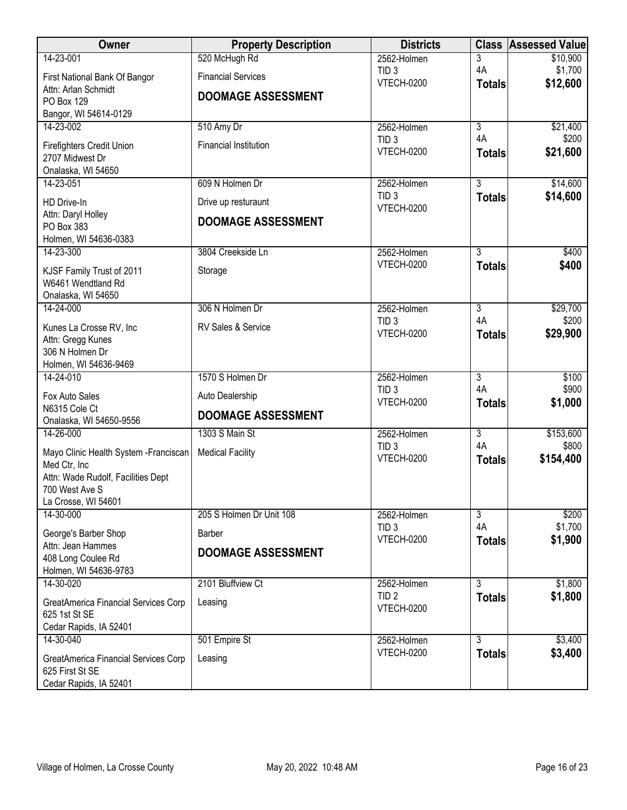| Owner                                                   | <b>Property Description</b>  | <b>Districts</b>                      | <b>Class</b>   | <b>Assessed Value</b> |
|---------------------------------------------------------|------------------------------|---------------------------------------|----------------|-----------------------|
| 14-23-001                                               | 520 McHugh Rd                | 2562-Holmen                           | 3              | \$10,900              |
| First National Bank Of Bangor                           | <b>Financial Services</b>    | TID <sub>3</sub><br><b>VTECH-0200</b> | 4A             | \$1,700<br>\$12,600   |
| Attn: Arlan Schmidt                                     | <b>DOOMAGE ASSESSMENT</b>    |                                       | <b>Totals</b>  |                       |
| PO Box 129<br>Bangor, WI 54614-0129                     |                              |                                       |                |                       |
| 14-23-002                                               | 510 Amy Dr                   | 2562-Holmen                           | $\overline{3}$ | \$21,400              |
|                                                         |                              | TID <sub>3</sub>                      | 4A             | \$200                 |
| Firefighters Credit Union<br>2707 Midwest Dr            | <b>Financial Institution</b> | <b>VTECH-0200</b>                     | <b>Totals</b>  | \$21,600              |
| Onalaska, WI 54650                                      |                              |                                       |                |                       |
| 14-23-051                                               | 609 N Holmen Dr              | 2562-Holmen                           | $\overline{3}$ | \$14,600              |
| HD Drive-In                                             | Drive up resturaunt          | TID <sub>3</sub><br><b>VTECH-0200</b> | <b>Totals</b>  | \$14,600              |
| Attn: Daryl Holley                                      | <b>DOOMAGE ASSESSMENT</b>    |                                       |                |                       |
| PO Box 383<br>Holmen, WI 54636-0383                     |                              |                                       |                |                       |
| 14-23-300                                               | 3804 Creekside Ln            | 2562-Holmen                           | 3              | \$400                 |
|                                                         |                              | <b>VTECH-0200</b>                     | <b>Totals</b>  | \$400                 |
| KJSF Family Trust of 2011<br>W6461 Wendtland Rd         | Storage                      |                                       |                |                       |
| Onalaska, WI 54650                                      |                              |                                       |                |                       |
| 14-24-000                                               | 306 N Holmen Dr              | 2562-Holmen                           | $\overline{3}$ | \$29,700              |
| Kunes La Crosse RV, Inc                                 | RV Sales & Service           | TID <sub>3</sub>                      | 4A             | \$200                 |
| Attn: Gregg Kunes                                       |                              | <b>VTECH-0200</b>                     | <b>Totals</b>  | \$29,900              |
| 306 N Holmen Dr                                         |                              |                                       |                |                       |
| Holmen, WI 54636-9469<br>14-24-010                      | 1570 S Holmen Dr             | 2562-Holmen                           | $\overline{3}$ | \$100                 |
|                                                         |                              | TID <sub>3</sub>                      | 4A             | \$900                 |
| Fox Auto Sales<br>N6315 Cole Ct                         | Auto Dealership              | <b>VTECH-0200</b>                     | <b>Totals</b>  | \$1,000               |
| Onalaska, WI 54650-9556                                 | <b>DOOMAGE ASSESSMENT</b>    |                                       |                |                       |
| 14-26-000                                               | 1303 S Main St               | 2562-Holmen                           | $\overline{3}$ | \$153,600             |
| Mayo Clinic Health System - Franciscan                  | <b>Medical Facility</b>      | TID <sub>3</sub>                      | 4A             | \$800                 |
| Med Ctr, Inc                                            |                              | <b>VTECH-0200</b>                     | <b>Totals</b>  | \$154,400             |
| Attn: Wade Rudolf, Facilities Dept                      |                              |                                       |                |                       |
| 700 West Ave S                                          |                              |                                       |                |                       |
| La Crosse, WI 54601<br>14-30-000                        | 205 S Holmen Dr Unit 108     | 2562-Holmen                           | $\overline{3}$ | \$200                 |
| George's Barber Shop                                    | Barber                       | TID <sub>3</sub>                      | 4A             | \$1,700               |
| Attn: Jean Hammes                                       |                              | <b>VTECH-0200</b>                     | <b>Totals</b>  | \$1,900               |
| 408 Long Coulee Rd                                      | <b>DOOMAGE ASSESSMENT</b>    |                                       |                |                       |
| Holmen, WI 54636-9783                                   |                              |                                       |                |                       |
| 14-30-020                                               | 2101 Bluffview Ct            | 2562-Holmen<br>TID <sub>2</sub>       | $\overline{3}$ | \$1,800               |
| GreatAmerica Financial Services Corp                    | Leasing                      | <b>VTECH-0200</b>                     | <b>Totals</b>  | \$1,800               |
| 625 1st St SE                                           |                              |                                       |                |                       |
| Cedar Rapids, IA 52401<br>14-30-040                     | 501 Empire St                | 2562-Holmen                           | $\overline{3}$ | \$3,400               |
|                                                         |                              | <b>VTECH-0200</b>                     | <b>Totals</b>  | \$3,400               |
| GreatAmerica Financial Services Corp<br>625 First St SE | Leasing                      |                                       |                |                       |
| Cedar Rapids, IA 52401                                  |                              |                                       |                |                       |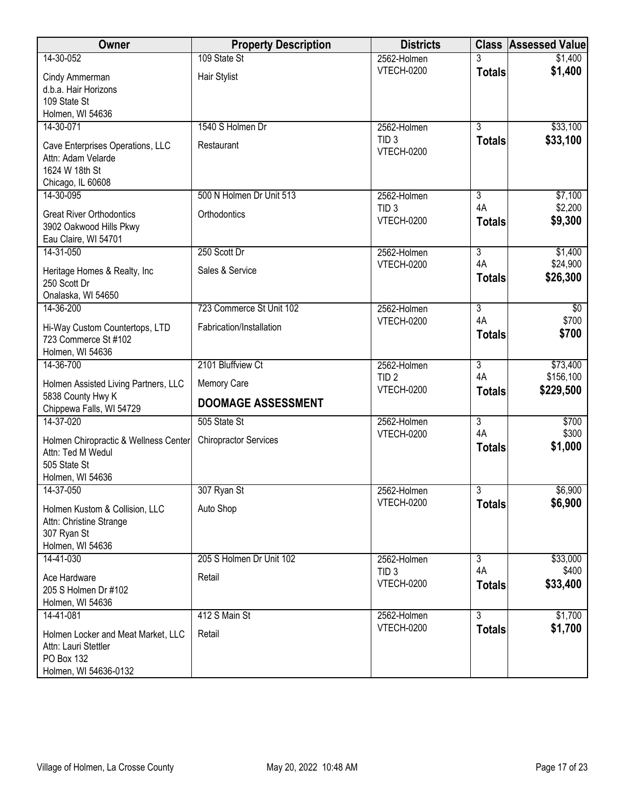| Owner                                                                                             | <b>Property Description</b>  | <b>Districts</b>                      |                     | <b>Class Assessed Value</b> |
|---------------------------------------------------------------------------------------------------|------------------------------|---------------------------------------|---------------------|-----------------------------|
| 14-30-052                                                                                         | 109 State St                 | 2562-Holmen                           |                     | \$1,400                     |
| Cindy Ammerman<br>d.b.a. Hair Horizons<br>109 State St                                            | Hair Stylist                 | <b>VTECH-0200</b>                     | <b>Totals</b>       | \$1,400                     |
| Holmen, WI 54636<br>14-30-071                                                                     | 1540 S Holmen Dr             | 2562-Holmen                           | $\overline{3}$      | \$33,100                    |
| Cave Enterprises Operations, LLC<br>Attn: Adam Velarde<br>1624 W 18th St<br>Chicago, IL 60608     | Restaurant                   | TID <sub>3</sub><br><b>VTECH-0200</b> | <b>Totals</b>       | \$33,100                    |
| 14-30-095                                                                                         | 500 N Holmen Dr Unit 513     | 2562-Holmen                           | $\overline{3}$      | \$7,100                     |
| <b>Great River Orthodontics</b><br>3902 Oakwood Hills Pkwy<br>Eau Claire, WI 54701                | Orthodontics                 | TID <sub>3</sub><br><b>VTECH-0200</b> | 4A<br><b>Totals</b> | \$2,200<br>\$9,300          |
| 14-31-050                                                                                         | 250 Scott Dr                 | 2562-Holmen                           | $\overline{3}$      | \$1,400                     |
| Heritage Homes & Realty, Inc<br>250 Scott Dr<br>Onalaska, WI 54650                                | Sales & Service              | <b>VTECH-0200</b>                     | 4A<br><b>Totals</b> | \$24,900<br>\$26,300        |
| 14-36-200                                                                                         | 723 Commerce St Unit 102     | 2562-Holmen                           | $\overline{3}$      | $\overline{60}$             |
| Hi-Way Custom Countertops, LTD<br>723 Commerce St #102<br>Holmen, WI 54636                        | Fabrication/Installation     | <b>VTECH-0200</b>                     | 4A<br><b>Totals</b> | \$700<br>\$700              |
| 14-36-700                                                                                         | 2101 Bluffview Ct            | 2562-Holmen                           | $\overline{3}$      | \$73,400                    |
| Holmen Assisted Living Partners, LLC                                                              | Memory Care                  | TID <sub>2</sub><br><b>VTECH-0200</b> | 4A<br><b>Totals</b> | \$156,100<br>\$229,500      |
| 5838 County Hwy K<br>Chippewa Falls, WI 54729                                                     | <b>DOOMAGE ASSESSMENT</b>    |                                       |                     |                             |
| 14-37-020                                                                                         | 505 State St                 | 2562-Holmen                           | $\overline{3}$      | \$700                       |
| Holmen Chiropractic & Wellness Center<br>Attn: Ted M Wedul<br>505 State St                        | <b>Chiropractor Services</b> | <b>VTECH-0200</b>                     | 4A<br><b>Totals</b> | \$300<br>\$1,000            |
| Holmen, WI 54636                                                                                  |                              |                                       |                     |                             |
| 14-37-050                                                                                         | 307 Ryan St                  | 2562-Holmen                           | $\overline{3}$      | \$6,900                     |
| Holmen Kustom & Collision, LLC<br>Attn: Christine Strange<br>307 Ryan St<br>Holmen, WI 54636      | Auto Shop                    | <b>VTECH-0200</b>                     | <b>Totals</b>       | \$6,900                     |
| 14-41-030                                                                                         | 205 S Holmen Dr Unit 102     | 2562-Holmen                           | $\overline{3}$      | \$33,000                    |
| Ace Hardware<br>205 S Holmen Dr #102<br>Holmen, WI 54636                                          | Retail                       | TID <sub>3</sub><br><b>VTECH-0200</b> | 4A<br><b>Totals</b> | \$400<br>\$33,400           |
| 14-41-081                                                                                         | 412 S Main St                | 2562-Holmen                           | $\overline{3}$      | \$1,700                     |
| Holmen Locker and Meat Market, LLC<br>Attn: Lauri Stettler<br>PO Box 132<br>Holmen, WI 54636-0132 | Retail                       | <b>VTECH-0200</b>                     | <b>Totals</b>       | \$1,700                     |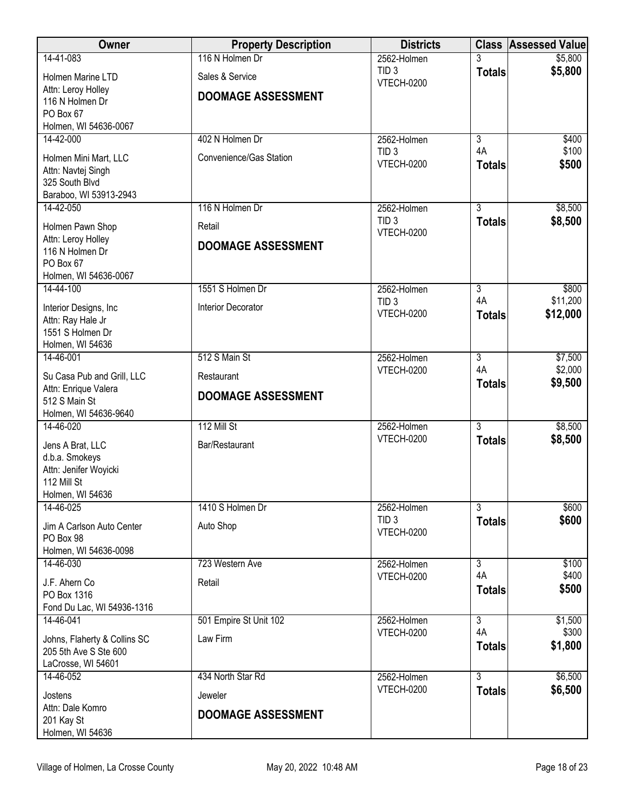| Owner                                              | <b>Property Description</b> | <b>Districts</b>                      |                           | <b>Class Assessed Value</b> |
|----------------------------------------------------|-----------------------------|---------------------------------------|---------------------------|-----------------------------|
| 14-41-083                                          | 116 N Holmen Dr             | 2562-Holmen                           |                           | \$5,800                     |
| Holmen Marine LTD                                  | Sales & Service             | TID <sub>3</sub><br><b>VTECH-0200</b> | <b>Totals</b>             | \$5,800                     |
| Attn: Leroy Holley                                 | <b>DOOMAGE ASSESSMENT</b>   |                                       |                           |                             |
| 116 N Holmen Dr                                    |                             |                                       |                           |                             |
| PO Box 67<br>Holmen, WI 54636-0067                 |                             |                                       |                           |                             |
| $14 - 42 - 000$                                    | 402 N Holmen Dr             | 2562-Holmen                           | $\overline{3}$            | \$400                       |
|                                                    |                             | TID <sub>3</sub>                      | 4A                        | \$100                       |
| Holmen Mini Mart, LLC<br>Attn: Navtej Singh        | Convenience/Gas Station     | <b>VTECH-0200</b>                     | <b>Totals</b>             | \$500                       |
| 325 South Blvd                                     |                             |                                       |                           |                             |
| Baraboo, WI 53913-2943                             |                             |                                       |                           |                             |
| 14-42-050                                          | 116 N Holmen Dr             | 2562-Holmen                           | $\overline{3}$            | \$8,500                     |
| Holmen Pawn Shop                                   | Retail                      | TID <sub>3</sub>                      | <b>Totals</b>             | \$8,500                     |
| Attn: Leroy Holley                                 |                             | <b>VTECH-0200</b>                     |                           |                             |
| 116 N Holmen Dr                                    | <b>DOOMAGE ASSESSMENT</b>   |                                       |                           |                             |
| PO Box 67                                          |                             |                                       |                           |                             |
| Holmen, WI 54636-0067                              |                             |                                       |                           |                             |
| 14-44-100                                          | 1551 S Holmen Dr            | 2562-Holmen<br>TID <sub>3</sub>       | $\overline{3}$<br>4A      | \$800<br>\$11,200           |
| Interior Designs, Inc.                             | Interior Decorator          | <b>VTECH-0200</b>                     | <b>Totals</b>             | \$12,000                    |
| Attn: Ray Hale Jr                                  |                             |                                       |                           |                             |
| 1551 S Holmen Dr<br>Holmen, WI 54636               |                             |                                       |                           |                             |
| 14-46-001                                          | 512 S Main St               | 2562-Holmen                           | $\overline{3}$            | \$7,500                     |
|                                                    |                             | <b>VTECH-0200</b>                     | 4A                        | \$2,000                     |
| Su Casa Pub and Grill, LLC<br>Attn: Enrique Valera | Restaurant                  |                                       | <b>Totals</b>             | \$9,500                     |
| 512 S Main St                                      | <b>DOOMAGE ASSESSMENT</b>   |                                       |                           |                             |
| Holmen, WI 54636-9640                              |                             |                                       |                           |                             |
| 14-46-020                                          | 112 Mill St                 | 2562-Holmen                           | $\overline{3}$            | \$8,500                     |
| Jens A Brat, LLC                                   | Bar/Restaurant              | <b>VTECH-0200</b>                     | <b>Totals</b>             | \$8,500                     |
| d.b.a. Smokeys                                     |                             |                                       |                           |                             |
| Attn: Jenifer Woyicki                              |                             |                                       |                           |                             |
| 112 Mill St<br>Holmen, WI 54636                    |                             |                                       |                           |                             |
| 14-46-025                                          | 1410 S Holmen Dr            | 2562-Holmen                           | 3                         | \$600                       |
|                                                    |                             | TID <sub>3</sub>                      | <b>Totals</b>             | \$600                       |
| Jim A Carlson Auto Center                          | Auto Shop                   | <b>VTECH-0200</b>                     |                           |                             |
| PO Box 98<br>Holmen, WI 54636-0098                 |                             |                                       |                           |                             |
| 14-46-030                                          | 723 Western Ave             | 2562-Holmen                           | $\overline{\overline{3}}$ | \$100                       |
| J.F. Ahern Co                                      | Retail                      | <b>VTECH-0200</b>                     | 4A                        | \$400                       |
| PO Box 1316                                        |                             |                                       | <b>Totals</b>             | \$500                       |
| Fond Du Lac, WI 54936-1316                         |                             |                                       |                           |                             |
| 14-46-041                                          | 501 Empire St Unit 102      | 2562-Holmen                           | $\overline{3}$            | \$1,500                     |
| Johns, Flaherty & Collins SC                       | Law Firm                    | <b>VTECH-0200</b>                     | 4A                        | \$300                       |
| 205 5th Ave S Ste 600                              |                             |                                       | <b>Totals</b>             | \$1,800                     |
| LaCrosse, WI 54601                                 |                             |                                       |                           |                             |
| 14-46-052                                          | 434 North Star Rd           | 2562-Holmen                           | $\overline{3}$            | \$6,500                     |
| Jostens                                            | Jeweler                     | <b>VTECH-0200</b>                     | <b>Totals</b>             | \$6,500                     |
| Attn: Dale Komro                                   | <b>DOOMAGE ASSESSMENT</b>   |                                       |                           |                             |
| 201 Kay St                                         |                             |                                       |                           |                             |
| Holmen, WI 54636                                   |                             |                                       |                           |                             |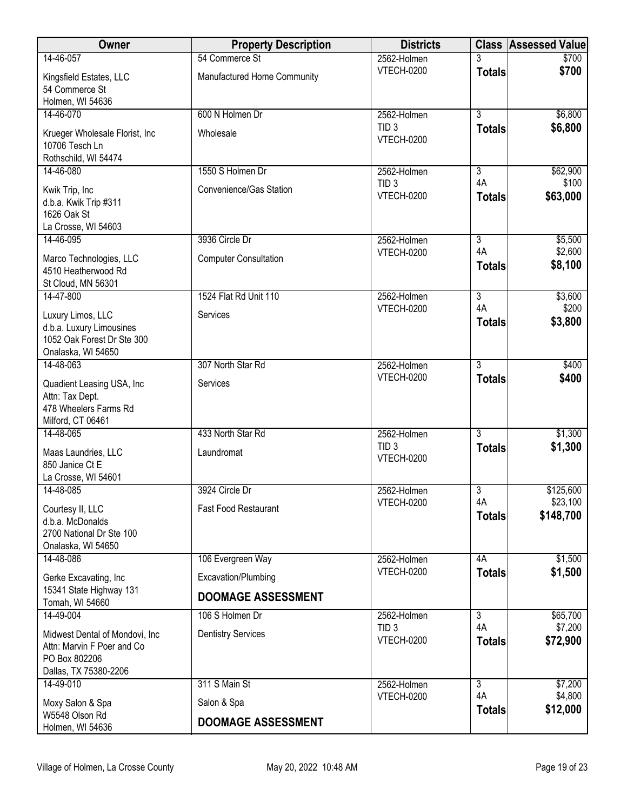| Owner                                                                                                                | <b>Property Description</b>                  | <b>Districts</b>                                     |                                       | <b>Class Assessed Value</b>     |
|----------------------------------------------------------------------------------------------------------------------|----------------------------------------------|------------------------------------------------------|---------------------------------------|---------------------------------|
| 14-46-057                                                                                                            | 54 Commerce St                               | 2562-Holmen                                          |                                       | \$700                           |
| Kingsfield Estates, LLC<br>54 Commerce St<br>Holmen, WI 54636                                                        | Manufactured Home Community                  | <b>VTECH-0200</b>                                    | <b>Totals</b>                         | \$700                           |
| 14-46-070                                                                                                            | 600 N Holmen Dr                              | 2562-Holmen                                          | $\overline{3}$                        | \$6,800                         |
| Krueger Wholesale Florist, Inc<br>10706 Tesch Ln<br>Rothschild, WI 54474                                             | Wholesale                                    | TID <sub>3</sub><br><b>VTECH-0200</b>                | <b>Totals</b>                         | \$6,800                         |
| 14-46-080                                                                                                            | 1550 S Holmen Dr                             | 2562-Holmen                                          | $\overline{\overline{3}}$             | \$62,900                        |
| Kwik Trip, Inc<br>d.b.a. Kwik Trip #311<br>1626 Oak St<br>La Crosse, WI 54603                                        | Convenience/Gas Station                      | TID <sub>3</sub><br><b>VTECH-0200</b>                | 4A<br><b>Totals</b>                   | \$100<br>\$63,000               |
| 14-46-095                                                                                                            | 3936 Circle Dr                               | 2562-Holmen                                          | $\overline{3}$                        | \$5,500                         |
| Marco Technologies, LLC<br>4510 Heatherwood Rd<br>St Cloud, MN 56301                                                 | <b>Computer Consultation</b>                 | <b>VTECH-0200</b>                                    | 4A<br><b>Totals</b>                   | \$2,600<br>\$8,100              |
| 14-47-800                                                                                                            | 1524 Flat Rd Unit 110                        | 2562-Holmen                                          | $\overline{3}$                        | \$3,600                         |
| Luxury Limos, LLC<br>d.b.a. Luxury Limousines<br>1052 Oak Forest Dr Ste 300<br>Onalaska, WI 54650                    | Services                                     | <b>VTECH-0200</b>                                    | 4A<br><b>Totals</b>                   | \$200<br>\$3,800                |
| 14-48-063                                                                                                            | 307 North Star Rd                            | 2562-Holmen                                          | $\overline{3}$                        | \$400                           |
| Quadient Leasing USA, Inc<br>Attn: Tax Dept.<br>478 Wheelers Farms Rd<br>Milford, CT 06461                           | Services                                     | <b>VTECH-0200</b>                                    | <b>Totals</b>                         | \$400                           |
| 14-48-065                                                                                                            | 433 North Star Rd                            | 2562-Holmen                                          | $\overline{3}$                        | \$1,300                         |
| Maas Laundries, LLC<br>850 Janice Ct E<br>La Crosse, WI 54601                                                        | Laundromat                                   | TID <sub>3</sub><br><b>VTECH-0200</b>                | <b>Totals</b>                         | \$1,300                         |
| 14-48-085                                                                                                            | 3924 Circle Dr                               | 2562-Holmen                                          | $\overline{3}$                        | \$125,600                       |
| Courtesy II, LLC<br>d.b.a. McDonalds<br>2700 National Dr Ste 100<br>Onalaska, WI 54650                               | <b>Fast Food Restaurant</b>                  | <b>VTECH-0200</b>                                    | 4A<br><b>Totals</b>                   | \$23,100<br>\$148,700           |
| 14-48-086                                                                                                            | 106 Evergreen Way                            | 2562-Holmen                                          | 4A                                    | \$1,500                         |
| Gerke Excavating, Inc<br>15341 State Highway 131                                                                     | Excavation/Plumbing                          | <b>VTECH-0200</b>                                    | <b>Totals</b>                         | \$1,500                         |
| Tomah, WI 54660                                                                                                      | <b>DOOMAGE ASSESSMENT</b>                    |                                                      |                                       |                                 |
| 14-49-004<br>Midwest Dental of Mondovi, Inc.<br>Attn: Marvin F Poer and Co<br>PO Box 802206<br>Dallas, TX 75380-2206 | 106 S Holmen Dr<br><b>Dentistry Services</b> | 2562-Holmen<br>TID <sub>3</sub><br><b>VTECH-0200</b> | $\overline{3}$<br>4A<br><b>Totals</b> | \$65,700<br>\$7,200<br>\$72,900 |
| 14-49-010                                                                                                            | 311 S Main St                                | 2562-Holmen                                          | $\overline{3}$<br>4A                  | \$7,200<br>\$4,800              |
| Moxy Salon & Spa                                                                                                     | Salon & Spa                                  | <b>VTECH-0200</b>                                    | <b>Totals</b>                         | \$12,000                        |
| W5548 Olson Rd<br>Holmen, WI 54636                                                                                   | <b>DOOMAGE ASSESSMENT</b>                    |                                                      |                                       |                                 |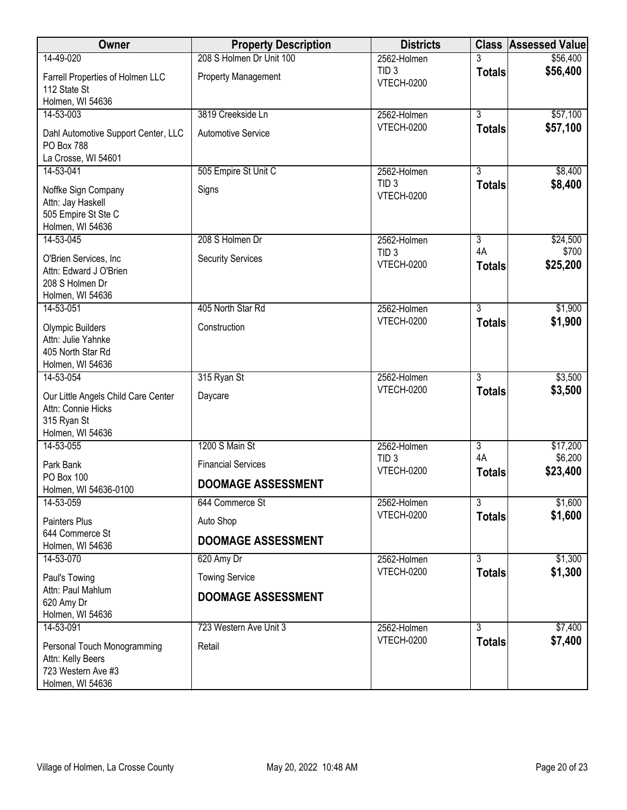| Owner                                                                                        | <b>Property Description</b> | <b>Districts</b>                      |                     | <b>Class Assessed Value</b> |
|----------------------------------------------------------------------------------------------|-----------------------------|---------------------------------------|---------------------|-----------------------------|
| 14-49-020                                                                                    | 208 S Holmen Dr Unit 100    | 2562-Holmen                           | 3                   | \$56,400                    |
| Farrell Properties of Holmen LLC<br>112 State St                                             | <b>Property Management</b>  | TID <sub>3</sub><br><b>VTECH-0200</b> | <b>Totals</b>       | \$56,400                    |
| Holmen, WI 54636<br>14-53-003                                                                | 3819 Creekside Ln           | 2562-Holmen                           | $\overline{3}$      | \$57,100                    |
| Dahl Automotive Support Center, LLC<br>PO Box 788<br>La Crosse, WI 54601                     | <b>Automotive Service</b>   | <b>VTECH-0200</b>                     | <b>Totals</b>       | \$57,100                    |
| 14-53-041                                                                                    | 505 Empire St Unit C        | 2562-Holmen                           | $\overline{3}$      | \$8,400                     |
| Noffke Sign Company<br>Attn: Jay Haskell<br>505 Empire St Ste C<br>Holmen, WI 54636          | Signs                       | TID <sub>3</sub><br><b>VTECH-0200</b> | <b>Totals</b>       | \$8,400                     |
| 14-53-045                                                                                    | 208 S Holmen Dr             | 2562-Holmen                           | $\overline{3}$      | \$24,500                    |
| O'Brien Services, Inc<br>Attn: Edward J O'Brien<br>208 S Holmen Dr<br>Holmen, WI 54636       | <b>Security Services</b>    | TID <sub>3</sub><br><b>VTECH-0200</b> | 4A<br><b>Totals</b> | \$700<br>\$25,200           |
| 14-53-051                                                                                    | 405 North Star Rd           | 2562-Holmen                           | $\overline{3}$      | \$1,900                     |
| <b>Olympic Builders</b><br>Attn: Julie Yahnke<br>405 North Star Rd<br>Holmen, WI 54636       | Construction                | <b>VTECH-0200</b>                     | <b>Totals</b>       | \$1,900                     |
| 14-53-054                                                                                    | 315 Ryan St                 | 2562-Holmen                           | $\overline{3}$      | \$3,500                     |
| Our Little Angels Child Care Center<br>Attn: Connie Hicks<br>315 Ryan St<br>Holmen, WI 54636 | Daycare                     | <b>VTECH-0200</b>                     | <b>Totals</b>       | \$3,500                     |
| 14-53-055                                                                                    | 1200 S Main St              | 2562-Holmen                           | $\overline{3}$      | \$17,200                    |
| Park Bank                                                                                    | <b>Financial Services</b>   | TID <sub>3</sub><br>VTECH-0200        | 4A<br><b>Totals</b> | \$6,200<br>\$23,400         |
| PO Box 100<br>Holmen, WI 54636-0100                                                          | <b>DOOMAGE ASSESSMENT</b>   |                                       |                     |                             |
| 14-53-059                                                                                    | 644 Commerce St             | 2562-Holmen                           | $\overline{3}$      | \$1,600                     |
| Painters Plus                                                                                | Auto Shop                   | <b>VTECH-0200</b>                     | <b>Totals</b>       | \$1,600                     |
| 644 Commerce St<br>Holmen, WI 54636                                                          | <b>DOOMAGE ASSESSMENT</b>   |                                       |                     |                             |
| 14-53-070                                                                                    | 620 Amy Dr                  | 2562-Holmen                           | $\overline{3}$      | \$1,300                     |
| Paul's Towing                                                                                | <b>Towing Service</b>       | <b>VTECH-0200</b>                     | <b>Totals</b>       | \$1,300                     |
| Attn: Paul Mahlum<br>620 Amy Dr<br>Holmen, WI 54636                                          | <b>DOOMAGE ASSESSMENT</b>   |                                       |                     |                             |
| 14-53-091                                                                                    | 723 Western Ave Unit 3      | 2562-Holmen                           | $\overline{3}$      | \$7,400                     |
| Personal Touch Monogramming<br>Attn: Kelly Beers<br>723 Western Ave #3<br>Holmen, WI 54636   | Retail                      | <b>VTECH-0200</b>                     | <b>Totals</b>       | \$7,400                     |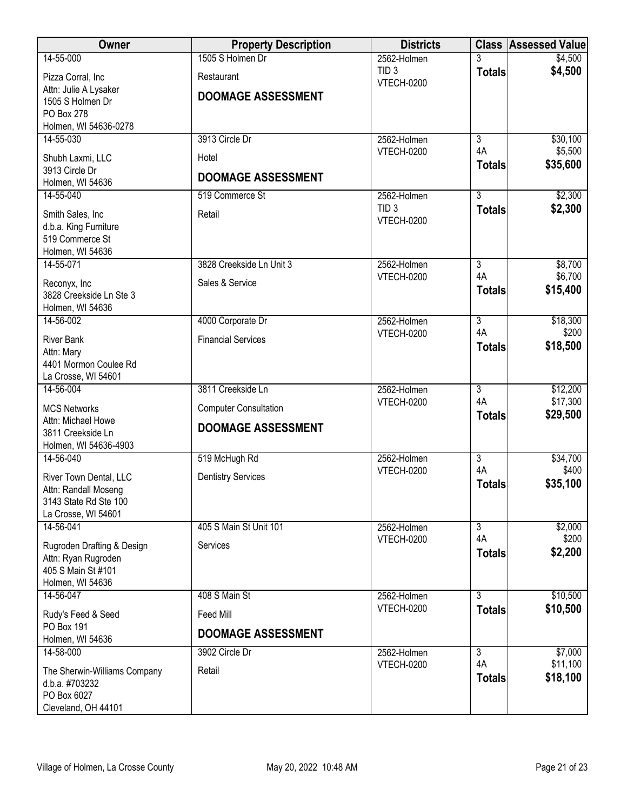| Owner                                     | <b>Property Description</b>  | <b>Districts</b>                      |                      | <b>Class Assessed Value</b> |
|-------------------------------------------|------------------------------|---------------------------------------|----------------------|-----------------------------|
| 14-55-000                                 | 1505 S Holmen Dr             | 2562-Holmen                           |                      | \$4,500                     |
| Pizza Corral, Inc.                        | Restaurant                   | TID <sub>3</sub><br><b>VTECH-0200</b> | <b>Totals</b>        | \$4,500                     |
| Attn: Julie A Lysaker                     | <b>DOOMAGE ASSESSMENT</b>    |                                       |                      |                             |
| 1505 S Holmen Dr                          |                              |                                       |                      |                             |
| PO Box 278<br>Holmen, WI 54636-0278       |                              |                                       |                      |                             |
| 14-55-030                                 | 3913 Circle Dr               | 2562-Holmen                           | $\overline{3}$       | \$30,100                    |
| Shubh Laxmi, LLC                          | Hotel                        | VTECH-0200                            | 4A                   | \$5,500                     |
| 3913 Circle Dr                            |                              |                                       | <b>Totals</b>        | \$35,600                    |
| Holmen, WI 54636                          | <b>DOOMAGE ASSESSMENT</b>    |                                       |                      |                             |
| 14-55-040                                 | 519 Commerce St              | 2562-Holmen                           | $\overline{3}$       | \$2,300                     |
| Smith Sales, Inc                          | Retail                       | TID <sub>3</sub><br>VTECH-0200        | <b>Totals</b>        | \$2,300                     |
| d.b.a. King Furniture                     |                              |                                       |                      |                             |
| 519 Commerce St<br>Holmen, WI 54636       |                              |                                       |                      |                             |
| 14-55-071                                 | 3828 Creekside Ln Unit 3     | 2562-Holmen                           | $\overline{3}$       | \$8,700                     |
|                                           | Sales & Service              | <b>VTECH-0200</b>                     | 4A                   | \$6,700                     |
| Reconyx, Inc<br>3828 Creekside Ln Ste 3   |                              |                                       | <b>Totals</b>        | \$15,400                    |
| Holmen, WI 54636                          |                              |                                       |                      |                             |
| 14-56-002                                 | 4000 Corporate Dr            | 2562-Holmen                           | $\overline{3}$       | \$18,300                    |
| <b>River Bank</b>                         | <b>Financial Services</b>    | <b>VTECH-0200</b>                     | 4A                   | \$200                       |
| Attn: Mary                                |                              |                                       | <b>Totals</b>        | \$18,500                    |
| 4401 Mormon Coulee Rd                     |                              |                                       |                      |                             |
| La Crosse, WI 54601                       |                              |                                       | $\overline{3}$       |                             |
| 14-56-004                                 | 3811 Creekside Ln            | 2562-Holmen<br><b>VTECH-0200</b>      | 4A                   | \$12,200<br>\$17,300        |
| <b>MCS Networks</b>                       | <b>Computer Consultation</b> |                                       | <b>Totals</b>        | \$29,500                    |
| Attn: Michael Howe<br>3811 Creekside Ln   | <b>DOOMAGE ASSESSMENT</b>    |                                       |                      |                             |
| Holmen, WI 54636-4903                     |                              |                                       |                      |                             |
| 14-56-040                                 | 519 McHugh Rd                | 2562-Holmen                           | $\overline{3}$       | \$34,700                    |
| River Town Dental, LLC                    | <b>Dentistry Services</b>    | VTECH-0200                            | 4A                   | \$400                       |
| Attn: Randall Moseng                      |                              |                                       | <b>Totals</b>        | \$35,100                    |
| 3143 State Rd Ste 100                     |                              |                                       |                      |                             |
| La Crosse, WI 54601                       |                              |                                       |                      |                             |
| 14-56-041                                 | 405 S Main St Unit 101       | 2562-Holmen<br>VTECH-0200             | $\overline{3}$<br>4A | \$2,000<br>\$200            |
| Rugroden Drafting & Design                | Services                     |                                       | <b>Totals</b>        | \$2,200                     |
| Attn: Ryan Rugroden<br>405 S Main St #101 |                              |                                       |                      |                             |
| Holmen, WI 54636                          |                              |                                       |                      |                             |
| 14-56-047                                 | 408 S Main St                | 2562-Holmen                           | $\overline{3}$       | \$10,500                    |
| Rudy's Feed & Seed                        | Feed Mill                    | <b>VTECH-0200</b>                     | <b>Totals</b>        | \$10,500                    |
| PO Box 191                                |                              |                                       |                      |                             |
| Holmen, WI 54636                          | <b>DOOMAGE ASSESSMENT</b>    |                                       |                      |                             |
| 14-58-000                                 | 3902 Circle Dr               | 2562-Holmen                           | $\overline{3}$       | \$7,000                     |
| The Sherwin-Williams Company              | Retail                       | <b>VTECH-0200</b>                     | 4A                   | \$11,100<br>\$18,100        |
| d.b.a. #703232                            |                              |                                       | <b>Totals</b>        |                             |
| PO Box 6027                               |                              |                                       |                      |                             |
| Cleveland, OH 44101                       |                              |                                       |                      |                             |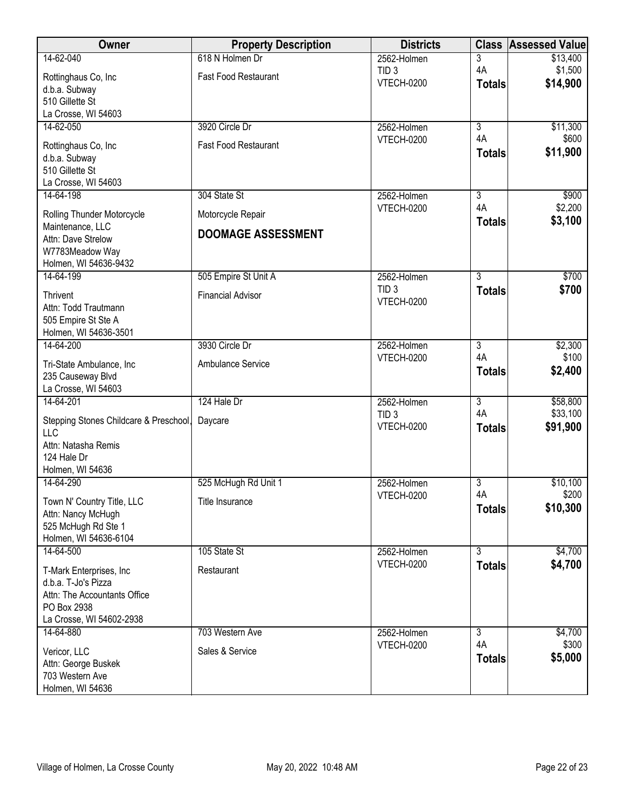| Owner                                               | <b>Property Description</b> | <b>Districts</b>                      | <b>Class</b>   | <b>Assessed Value</b> |
|-----------------------------------------------------|-----------------------------|---------------------------------------|----------------|-----------------------|
| 14-62-040                                           | 618 N Holmen Dr             | 2562-Holmen                           | 3              | \$13,400              |
| Rottinghaus Co, Inc                                 | <b>Fast Food Restaurant</b> | TID <sub>3</sub><br><b>VTECH-0200</b> | 4A             | \$1,500               |
| d.b.a. Subway                                       |                             |                                       | <b>Totals</b>  | \$14,900              |
| 510 Gillette St                                     |                             |                                       |                |                       |
| La Crosse, WI 54603<br>14-62-050                    | 3920 Circle Dr              | 2562-Holmen                           | $\overline{3}$ | \$11,300              |
|                                                     |                             | <b>VTECH-0200</b>                     | 4A             | \$600                 |
| Rottinghaus Co, Inc                                 | <b>Fast Food Restaurant</b> |                                       | <b>Totals</b>  | \$11,900              |
| d.b.a. Subway<br>510 Gillette St                    |                             |                                       |                |                       |
| La Crosse, WI 54603                                 |                             |                                       |                |                       |
| 14-64-198                                           | 304 State St                | 2562-Holmen                           | $\overline{3}$ | \$900                 |
|                                                     |                             | <b>VTECH-0200</b>                     | 4A             | \$2,200               |
| Rolling Thunder Motorcycle<br>Maintenance, LLC      | Motorcycle Repair           |                                       | <b>Totals</b>  | \$3,100               |
| Attn: Dave Strelow                                  | <b>DOOMAGE ASSESSMENT</b>   |                                       |                |                       |
| W7783Meadow Way                                     |                             |                                       |                |                       |
| Holmen, WI 54636-9432                               |                             |                                       |                |                       |
| 14-64-199                                           | 505 Empire St Unit A        | 2562-Holmen                           | $\overline{3}$ | \$700                 |
| <b>Thrivent</b>                                     | <b>Financial Advisor</b>    | TID <sub>3</sub><br><b>VTECH-0200</b> | <b>Totals</b>  | \$700                 |
| Attn: Todd Trautmann                                |                             |                                       |                |                       |
| 505 Empire St Ste A                                 |                             |                                       |                |                       |
| Holmen, WI 54636-3501<br>14-64-200                  | 3930 Circle Dr              | 2562-Holmen                           | $\overline{3}$ | \$2,300               |
|                                                     |                             | <b>VTECH-0200</b>                     | 4A             | \$100                 |
| Tri-State Ambulance, Inc                            | Ambulance Service           |                                       | <b>Totals</b>  | \$2,400               |
| 235 Causeway Blvd<br>La Crosse, WI 54603            |                             |                                       |                |                       |
| 14-64-201                                           | 124 Hale Dr                 | 2562-Holmen                           | $\overline{3}$ | \$58,800              |
|                                                     |                             | TID <sub>3</sub>                      | 4A             | \$33,100              |
| Stepping Stones Childcare & Preschool,<br>LLC       | Daycare                     | <b>VTECH-0200</b>                     | <b>Totals</b>  | \$91,900              |
| Attn: Natasha Remis                                 |                             |                                       |                |                       |
| 124 Hale Dr                                         |                             |                                       |                |                       |
| Holmen, WI 54636                                    |                             |                                       |                |                       |
| 14-64-290                                           | 525 McHugh Rd Unit 1        | 2562-Holmen                           | $\overline{3}$ | \$10,100              |
| Town N' Country Title, LLC                          | Title Insurance             | <b>VTECH-0200</b>                     | 4A             | \$200                 |
| Attn: Nancy McHugh                                  |                             |                                       | <b>Totals</b>  | \$10,300              |
| 525 McHugh Rd Ste 1                                 |                             |                                       |                |                       |
| Holmen, WI 54636-6104<br>14-64-500                  | 105 State St                | 2562-Holmen                           | $\overline{3}$ | \$4,700               |
|                                                     |                             | <b>VTECH-0200</b>                     | <b>Totals</b>  | \$4,700               |
| T-Mark Enterprises, Inc                             | Restaurant                  |                                       |                |                       |
| d.b.a. T-Jo's Pizza<br>Attn: The Accountants Office |                             |                                       |                |                       |
| PO Box 2938                                         |                             |                                       |                |                       |
| La Crosse, WI 54602-2938                            |                             |                                       |                |                       |
| 14-64-880                                           | 703 Western Ave             | 2562-Holmen                           | $\overline{3}$ | \$4,700               |
| Vericor, LLC                                        | Sales & Service             | <b>VTECH-0200</b>                     | 4A             | \$300                 |
| Attn: George Buskek                                 |                             |                                       | <b>Totals</b>  | \$5,000               |
| 703 Western Ave                                     |                             |                                       |                |                       |
| Holmen, WI 54636                                    |                             |                                       |                |                       |